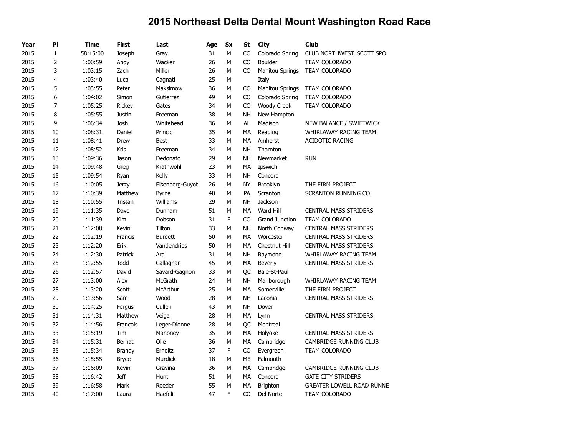| Year | P                       | Time     | <b>First</b>  | Last            | Age | Sx | St        | <b>City</b>            | <b>Club</b>                      |
|------|-------------------------|----------|---------------|-----------------|-----|----|-----------|------------------------|----------------------------------|
| 2015 | $\mathbf{1}$            | 58:15:00 | Joseph        | Gray            | 31  | M  | CO        | Colorado Spring        | CLUB NORTHWEST, SCOTT SPO        |
| 2015 | $\overline{2}$          | 1:00:59  | Andy          | Wacker          | 26  | M  | CO        | <b>Boulder</b>         | <b>TEAM COLORADO</b>             |
| 2015 | 3                       | 1:03:15  | Zach          | Miller          | 26  | M  | CO        | <b>Manitou Springs</b> | TEAM COLORADO                    |
| 2015 | $\overline{\mathbf{4}}$ | 1:03:40  | Luca          | Cagnati         | 25  | М  |           | Italy                  |                                  |
| 2015 | 5                       | 1:03:55  | Peter         | Maksimow        | 36  | M  | CO        | <b>Manitou Springs</b> | TEAM COLORADO                    |
| 2015 | 6                       | 1:04:02  | Simon         | Gutierrez       | 49  | M  | CO        | Colorado Spring        | <b>TEAM COLORADO</b>             |
| 2015 | $\overline{7}$          | 1:05:25  | Rickey        | Gates           | 34  | M  | CO        | <b>Woody Creek</b>     | TEAM COLORADO                    |
| 2015 | 8                       | 1:05:55  | <b>Justin</b> | Freeman         | 38  | M  | NH        | New Hampton            |                                  |
| 2015 | 9                       | 1:06:34  | Josh          | Whitehead       | 36  | M  | AL        | Madison                | NEW BALANCE / SWIFTWICK          |
| 2015 | 10                      | 1:08:31  | Daniel        | Princic         | 35  | M  | MA        | Reading                | WHIRLAWAY RACING TEAM            |
| 2015 | 11                      | 1:08:41  | Drew          | <b>Best</b>     | 33  | M  | MA        | Amherst                | <b>ACIDOTIC RACING</b>           |
| 2015 | 12                      | 1:08:52  | Kris          | Freeman         | 34  | M  | <b>NH</b> | Thornton               |                                  |
| 2015 | 13                      | 1:09:36  | Jason         | Dedonato        | 29  | M  | NΗ        | Newmarket              | <b>RUN</b>                       |
| 2015 | 14                      | 1:09:48  | Greg          | Krathwohl       | 23  | M  | МA        | Ipswich                |                                  |
| 2015 | 15                      | 1:09:54  | Ryan          | Kelly           | 33  | M  | NΗ        | Concord                |                                  |
| 2015 | 16                      | 1:10:05  | <b>Jerzy</b>  | Eisenberg-Guyot | 26  | M  | <b>NY</b> | Brooklyn               | THE FIRM PROJECT                 |
| 2015 | $17\,$                  | 1:10:39  | Matthew       | <b>Byrne</b>    | 40  | M  | PA        | Scranton               | SCRANTON RUNNING CO.             |
| 2015 | 18                      | 1:10:55  | Tristan       | Williams        | 29  | M  | NH        | Jackson                |                                  |
| 2015 | 19                      | 1:11:35  | Dave          | Dunham          | 51  | M  | <b>MA</b> | Ward Hill              | <b>CENTRAL MASS STRIDERS</b>     |
| 2015 | 20                      | 1:11:39  | Kim           | Dobson          | 31  | F  | CO        | <b>Grand Junction</b>  | TEAM COLORADO                    |
| 2015 | 21                      | 1:12:08  | Kevin         | Tilton          | 33  | М  | NΗ        | North Conway           | <b>CENTRAL MASS STRIDERS</b>     |
| 2015 | 22                      | 1:12:19  | Francis       | <b>Burdett</b>  | 50  | M  | MA        | Worcester              | <b>CENTRAL MASS STRIDERS</b>     |
| 2015 | 23                      | 1:12:20  | Erik          | Vandendries     | 50  | M  | MA        | Chestnut Hill          | <b>CENTRAL MASS STRIDERS</b>     |
| 2015 | 24                      | 1:12:30  | Patrick       | Ard             | 31  | M  | NΗ        | Raymond                | WHIRLAWAY RACING TEAM            |
| 2015 | 25                      | 1:12:55  | Todd          | Callaghan       | 45  | M  | MA        | <b>Beverly</b>         | <b>CENTRAL MASS STRIDERS</b>     |
| 2015 | 26                      | 1:12:57  | David         | Savard-Gagnon   | 33  | M  | QC        | Baie-St-Paul           |                                  |
| 2015 | 27                      | 1:13:00  | Alex          | McGrath         | 24  | M  | NΗ        | Marlborough            | WHIRLAWAY RACING TEAM            |
| 2015 | 28                      | 1:13:20  | Scott         | McArthur        | 25  | M  | MA        | Somerville             | THE FIRM PROJECT                 |
| 2015 | 29                      | 1:13:56  | Sam           | Wood            | 28  | M  | <b>NH</b> | Laconia                | <b>CENTRAL MASS STRIDERS</b>     |
| 2015 | 30                      | 1:14:25  | Fergus        | Cullen          | 43  | M  | NΗ        | Dover                  |                                  |
| 2015 | 31                      | 1:14:31  | Matthew       | Veiga           | 28  | М  | MA        | Lynn                   | <b>CENTRAL MASS STRIDERS</b>     |
| 2015 | 32                      | 1:14:56  | Francois      | Leger-Dionne    | 28  | M  | QC        | Montreal               |                                  |
| 2015 | 33                      | 1:15:19  | Tim           | Mahoney         | 35  | М  | МA        | Holyoke                | <b>CENTRAL MASS STRIDERS</b>     |
| 2015 | 34                      | 1:15:31  | Bernat        | Olle            | 36  | M  | MA        | Cambridge              | CAMBRIDGE RUNNING CLUB           |
| 2015 | 35                      | 1:15:34  | <b>Brandy</b> | Erholtz         | 37  | F  | CO        | Evergreen              | TEAM COLORADO                    |
| 2015 | 36                      | 1:15:55  | <b>Bryce</b>  | Murdick         | 18  | M  | ME        | Falmouth               |                                  |
| 2015 | 37                      | 1:16:09  | Kevin         | Gravina         | 36  | M  | MA        | Cambridge              | CAMBRIDGE RUNNING CLUB           |
| 2015 | 38                      | 1:16:42  | <b>Jeff</b>   | Hunt            | 51  | M  | MA        | Concord                | <b>GATE CITY STRIDERS</b>        |
| 2015 | 39                      | 1:16:58  | Mark          | Reeder          | 55  | M  | MA        | Brighton               | <b>GREATER LOWELL ROAD RUNNE</b> |
| 2015 | 40                      | 1:17:00  | Laura         | Haefeli         | 47  | F  | CO        | Del Norte              | TEAM COLORADO                    |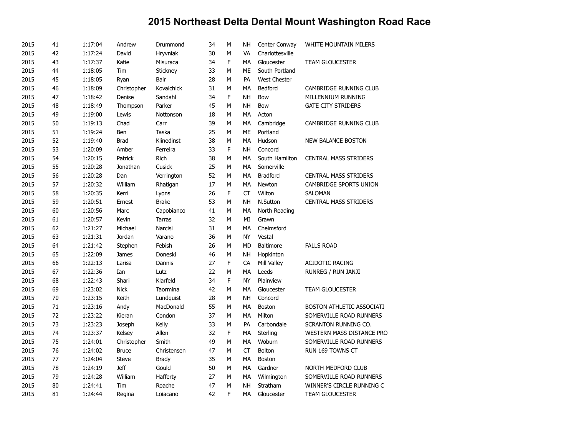| 2015 | 41 | 1:17:04 | Andrew       | Drummond      | 34 | M | <b>NH</b> | Center Conway       | WHITE MOUNTAIN MILERS        |
|------|----|---------|--------------|---------------|----|---|-----------|---------------------|------------------------------|
| 2015 | 42 | 1:17:24 | David        | Hryvniak      | 30 | М | VA        | Charlottesville     |                              |
| 2015 | 43 | 1:17:37 | Katie        | Misuraca      | 34 | F | MA        | Gloucester          | <b>TEAM GLOUCESTER</b>       |
| 2015 | 44 | 1:18:05 | Tim          | Stickney      | 33 | M | ME        | South Portland      |                              |
| 2015 | 45 | 1:18:05 | Ryan         | Bair          | 28 | M | PA        | <b>West Chester</b> |                              |
| 2015 | 46 | 1:18:09 | Christopher  | Kovalchick    | 31 | M | MA        | Bedford             | CAMBRIDGE RUNNING CLUB       |
| 2015 | 47 | 1:18:42 | Denise       | Sandahl       | 34 | F | <b>NH</b> | Bow                 | MILLENNIUM RUNNING           |
| 2015 | 48 | 1:18:49 | Thompson     | Parker        | 45 | M | <b>NH</b> | Bow                 | <b>GATE CITY STRIDERS</b>    |
| 2015 | 49 | 1:19:00 | Lewis        | Nottonson     | 18 | М | MA        | Acton               |                              |
| 2015 | 50 | 1:19:13 | Chad         | Carr          | 39 | M | MA        | Cambridge           | CAMBRIDGE RUNNING CLUB       |
| 2015 | 51 | 1:19:24 | Ben          | Taska         | 25 | M | <b>ME</b> | Portland            |                              |
| 2015 | 52 | 1:19:40 | <b>Brad</b>  | Klinedinst    | 38 | M | MA        | Hudson              | <b>NEW BALANCE BOSTON</b>    |
| 2015 | 53 | 1:20:09 | Amber        | Ferreira      | 33 | F | <b>NH</b> | Concord             |                              |
| 2015 | 54 | 1:20:15 | Patrick      | Rich          | 38 | M | MA        | South Hamilton      | <b>CENTRAL MASS STRIDERS</b> |
| 2015 | 55 | 1:20:28 | Jonathan     | Cusick        | 25 | M | MA        | Somerville          |                              |
| 2015 | 56 | 1:20:28 | Dan          | Verrington    | 52 | М | MA        | <b>Bradford</b>     | <b>CENTRAL MASS STRIDERS</b> |
| 2015 | 57 | 1:20:32 | William      | Rhatigan      | 17 | M | MA        | Newton              | CAMBRIDGE SPORTS UNION       |
| 2015 | 58 | 1:20:35 | Kerri        | Lyons         | 26 | F | <b>CT</b> | Wilton              | <b>SALOMAN</b>               |
| 2015 | 59 | 1:20:51 | Ernest       | <b>Brake</b>  | 53 | М | <b>NH</b> | N.Sutton            | <b>CENTRAL MASS STRIDERS</b> |
| 2015 | 60 | 1:20:56 | Marc         | Capobianco    | 41 | M | MA        | North Reading       |                              |
| 2015 | 61 | 1:20:57 | Kevin        | <b>Tarras</b> | 32 | М | MI        | Grawn               |                              |
| 2015 | 62 | 1:21:27 | Michael      | Narcisi       | 31 | M | MA        | Chelmsford          |                              |
| 2015 | 63 | 1:21:31 | Jordan       | Varano        | 36 | M | <b>NY</b> | Vestal              |                              |
| 2015 | 64 | 1:21:42 | Stephen      | Febish        | 26 | M | <b>MD</b> | <b>Baltimore</b>    | <b>FALLS ROAD</b>            |
| 2015 | 65 | 1:22:09 | James        | Doneski       | 46 | M | <b>NH</b> | Hopkinton           |                              |
| 2015 | 66 | 1:22:13 | Larisa       | Dannis        | 27 | F | CA        | Mill Valley         | <b>ACIDOTIC RACING</b>       |
| 2015 | 67 | 1:22:36 | Ian          | Lutz          | 22 | M | MA        | Leeds               | RUNREG / RUN JANJI           |
| 2015 | 68 | 1:22:43 | Shari        | Klarfeld      | 34 | F | <b>NY</b> | Plainview           |                              |
| 2015 | 69 | 1:23:02 | <b>Nick</b>  | Taormina      | 42 | М | MA        | Gloucester          | <b>TEAM GLOUCESTER</b>       |
| 2015 | 70 | 1:23:15 | Keith        | Lundquist     | 28 | M | <b>NH</b> | Concord             |                              |
| 2015 | 71 | 1:23:16 | Andy         | MacDonald     | 55 | M | MA        | Boston              | BOSTON ATHLETIC ASSOCIATI    |
| 2015 | 72 | 1:23:22 | Kieran       | Condon        | 37 | М | MA        | Milton              | SOMERVILLE ROAD RUNNERS      |
| 2015 | 73 | 1:23:23 | Joseph       | Kelly         | 33 | M | PA        | Carbondale          | SCRANTON RUNNING CO.         |
| 2015 | 74 | 1:23:37 | Kelsey       | Allen         | 32 | F | MA        | Sterling            | WESTERN MASS DISTANCE PRO    |
| 2015 | 75 | 1:24:01 | Christopher  | Smith         | 49 | M | MA        | Woburn              | SOMERVILLE ROAD RUNNERS      |
| 2015 | 76 | 1:24:02 | <b>Bruce</b> | Christensen   | 47 | М | <b>CT</b> | Bolton              | RUN 169 TOWNS CT             |
| 2015 | 77 | 1:24:04 | <b>Steve</b> | <b>Brady</b>  | 35 | M | MA        | Boston              |                              |
| 2015 | 78 | 1:24:19 | <b>Jeff</b>  | Gould         | 50 | М | MA        | Gardner             | NORTH MEDFORD CLUB           |
| 2015 | 79 | 1:24:28 | William      | Hafferty      | 27 | М | MA        | Wilmington          | SOMERVILLE ROAD RUNNERS      |
| 2015 | 80 | 1:24:41 | Tim          | Roache        | 47 | M | <b>NH</b> | Stratham            | WINNER'S CIRCLE RUNNING C    |
| 2015 | 81 | 1:24:44 | Regina       | Loiacano      | 42 | F | <b>MA</b> | Gloucester          | <b>TEAM GLOUCESTER</b>       |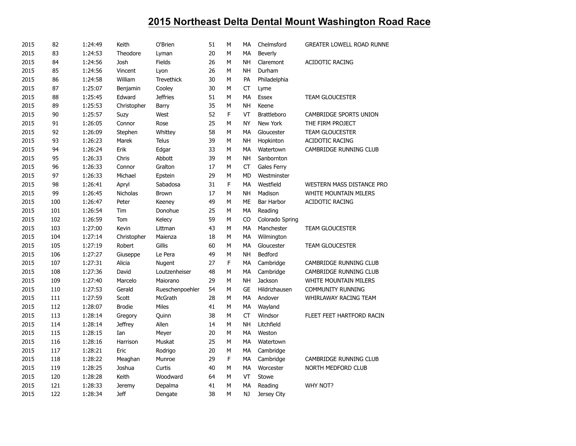| 2015 | 82  | 1:24:49 | Keith          | O'Brien           | 51 | M | МA        | Chelmsford         | <b>GREATER LOWELL ROAD RUNNE</b> |
|------|-----|---------|----------------|-------------------|----|---|-----------|--------------------|----------------------------------|
| 2015 | 83  | 1:24:53 | Theodore       | Lyman             | 20 | М | MA        | Beverly            |                                  |
| 2015 | 84  | 1:24:56 | Josh           | Fields            | 26 | М | <b>NH</b> | Claremont          | <b>ACIDOTIC RACING</b>           |
| 2015 | 85  | 1:24:56 | Vincent        | Lyon              | 26 | M | <b>NH</b> | Durham             |                                  |
| 2015 | 86  | 1:24:58 | William        | <b>Trevethick</b> | 30 | М | PA        | Philadelphia       |                                  |
| 2015 | 87  | 1:25:07 | Benjamin       | Cooley            | 30 | М | CT        | Lyme               |                                  |
| 2015 | 88  | 1:25:45 | Edward         | <b>Jeffries</b>   | 51 | M | <b>MA</b> | <b>Essex</b>       | <b>TEAM GLOUCESTER</b>           |
| 2015 | 89  | 1:25:53 | Christopher    | Barry             | 35 | М | <b>NH</b> | Keene              |                                  |
| 2015 | 90  | 1:25:57 | Suzy           | West              | 52 | F | VT        | <b>Brattleboro</b> | CAMBRIDGE SPORTS UNION           |
| 2015 | 91  | 1:26:05 | Connor         | Rose              | 25 | М | <b>NY</b> | New York           | THE FIRM PROJECT                 |
| 2015 | 92  | 1:26:09 | Stephen        | Whittey           | 58 | M | MA        | Gloucester         | TEAM GLOUCESTER                  |
| 2015 | 93  | 1:26:23 | Marek          | <b>Telus</b>      | 39 | M | <b>NH</b> | Hopkinton          | ACIDOTIC RACING                  |
| 2015 | 94  | 1:26:24 | Erik           | Edgar             | 33 | M | MA        | Watertown          | <b>CAMBRIDGE RUNNING CLUB</b>    |
| 2015 | 95  | 1:26:33 | Chris          | Abbott            | 39 | М | NΗ        | Sanbornton         |                                  |
| 2015 | 96  | 1:26:33 | Connor         | Gralton           | 17 | М | <b>CT</b> | Gales Ferry        |                                  |
| 2015 | 97  | 1:26:33 | Michael        | Epstein           | 29 | М | MD        | Westminster        |                                  |
| 2015 | 98  | 1:26:41 | Apryl          | Sabadosa          | 31 | F | MA        | Westfield          | WESTERN MASS DISTANCE PRO        |
| 2015 | 99  | 1:26:45 | Nicholas       | Brown             | 17 | М | NΗ        | Madison            | WHITE MOUNTAIN MILERS            |
| 2015 | 100 | 1:26:47 | Peter          | Keeney            | 49 | М | ME        | Bar Harbor         | <b>ACIDOTIC RACING</b>           |
| 2015 | 101 | 1:26:54 | Tim            | Donohue           | 25 | М | MA        | Reading            |                                  |
| 2015 | 102 | 1:26:59 | Tom            | Kelecy            | 59 | M | CO        | Colorado Spring    |                                  |
| 2015 | 103 | 1:27:00 | Kevin          | Littman           | 43 | M | MA        | Manchester         | <b>TEAM GLOUCESTER</b>           |
| 2015 | 104 | 1:27:14 | Christopher    | Maienza           | 18 | M | MA        | Wilmington         |                                  |
| 2015 | 105 | 1:27:19 | Robert         | Gillis            | 60 | M | <b>MA</b> | Gloucester         | <b>TEAM GLOUCESTER</b>           |
| 2015 | 106 | 1:27:27 | Giuseppe       | Le Pera           | 49 | М | <b>NH</b> | Bedford            |                                  |
| 2015 | 107 | 1:27:31 | Alicia         | Nugent            | 27 | F | <b>MA</b> | Cambridge          | CAMBRIDGE RUNNING CLUB           |
| 2015 | 108 | 1:27:36 | David          | Loutzenheiser     | 48 | М | MA        | Cambridge          | CAMBRIDGE RUNNING CLUB           |
| 2015 | 109 | 1:27:40 | Marcelo        | Maiorano          | 29 | M | <b>NH</b> | Jackson            | <b>WHITE MOUNTAIN MILERS</b>     |
| 2015 | 110 | 1:27:53 | Gerald         | Rueschenpoehler   | 54 | М | <b>GE</b> | Hildrizhausen      | <b>COMMUNITY RUNNING</b>         |
| 2015 | 111 | 1:27:59 | Scott          | McGrath           | 28 | М | MA        | Andover            | WHIRLAWAY RACING TEAM            |
| 2015 | 112 | 1:28:07 | <b>Brodie</b>  | <b>Miles</b>      | 41 | М | МA        | Wayland            |                                  |
| 2015 | 113 | 1:28:14 | Gregory        | Quinn             | 38 | M | <b>CT</b> | Windsor            | FLEET FEET HARTFORD RACIN        |
| 2015 | 114 | 1:28:14 | <b>Jeffrey</b> | Allen             | 14 | М | NΗ        | Litchfield         |                                  |
| 2015 | 115 | 1:28:15 | Ian            | Meyer             | 20 | М | МA        | Weston             |                                  |
| 2015 | 116 | 1:28:16 | Harrison       | Muskat            | 25 | M | МA        | Watertown          |                                  |
| 2015 | 117 | 1:28:21 | Eric           | Rodrigo           | 20 | М | MA        | Cambridge          |                                  |
| 2015 | 118 | 1:28:22 | Meaghan        | Munroe            | 29 | F | MA        | Cambridge          | CAMBRIDGE RUNNING CLUB           |
| 2015 | 119 | 1:28:25 | Joshua         | Curtis            | 40 | М | MA        | Worcester          | NORTH MEDFORD CLUB               |
| 2015 | 120 | 1:28:28 | Keith          | Woodward          | 64 | M | VT        | Stowe              |                                  |
| 2015 | 121 | 1:28:33 | <b>Jeremy</b>  | Depalma           | 41 | М | MA        | Reading            | <b>WHY NOT?</b>                  |
| 2015 | 122 | 1:28:34 | <b>Jeff</b>    | Dengate           | 38 | M | NJ        | Jersey City        |                                  |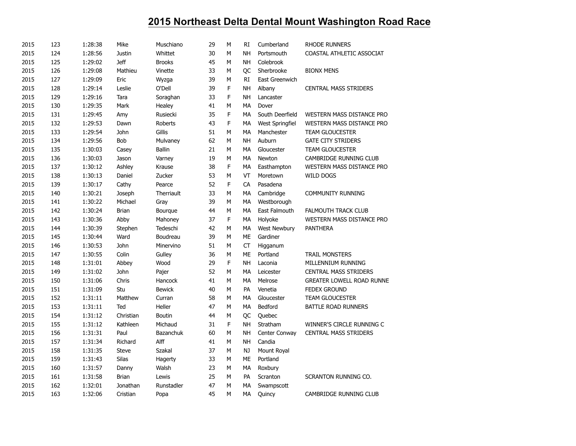| 2015 | 123 | 1:28:38 | Mike          | Muschiano      | 29 | M | RI        | Cumberland      | <b>RHODE RUNNERS</b>             |
|------|-----|---------|---------------|----------------|----|---|-----------|-----------------|----------------------------------|
| 2015 | 124 | 1:28:56 | <b>Justin</b> | Whittet        | 30 | M | <b>NH</b> | Portsmouth      | COASTAL ATHLETIC ASSOCIAT        |
| 2015 | 125 | 1:29:02 | <b>Jeff</b>   | <b>Brooks</b>  | 45 | M | <b>NH</b> | Colebrook       |                                  |
| 2015 | 126 | 1:29:08 | Mathieu       | Vinette        | 33 | M | QC        | Sherbrooke      | <b>BIONX MENS</b>                |
| 2015 | 127 | 1:29:09 | Eric          | Wyzga          | 39 | M | <b>RI</b> | East Greenwich  |                                  |
| 2015 | 128 | 1:29:14 | Leslie        | O'Dell         | 39 | F | <b>NH</b> | Albany          | <b>CENTRAL MASS STRIDERS</b>     |
| 2015 | 129 | 1:29:16 | Tara          | Soraghan       | 33 | F | <b>NH</b> | Lancaster       |                                  |
| 2015 | 130 | 1:29:35 | Mark          | Healey         | 41 | M | MA        | Dover           |                                  |
| 2015 | 131 | 1:29:45 | Amy           | Rusiecki       | 35 | F | MA        | South Deerfield | WESTERN MASS DISTANCE PRO        |
| 2015 | 132 | 1:29:53 | Dawn          | <b>Roberts</b> | 43 | F | MA        | West Springfiel | WESTERN MASS DISTANCE PRO        |
| 2015 | 133 | 1:29:54 | John          | Gillis         | 51 | M | MA        | Manchester      | <b>TEAM GLOUCESTER</b>           |
| 2015 | 134 | 1:29:56 | Bob           | Mulvaney       | 62 | M | <b>NH</b> | Auburn          | <b>GATE CITY STRIDERS</b>        |
| 2015 | 135 | 1:30:03 | Casey         | <b>Ballin</b>  | 21 | M | MA        | Gloucester      | <b>TEAM GLOUCESTER</b>           |
| 2015 | 136 | 1:30:03 | Jason         | Varney         | 19 | M | MA        | Newton          | CAMBRIDGE RUNNING CLUB           |
| 2015 | 137 | 1:30:12 | Ashley        | Krause         | 38 | F | MA        | Easthampton     | <b>WESTERN MASS DISTANCE PRO</b> |
| 2015 | 138 | 1:30:13 | Daniel        | Zucker         | 53 | M | VT        | Moretown        | <b>WILD DOGS</b>                 |
| 2015 | 139 | 1:30:17 | Cathy         | Pearce         | 52 | F | CA        | Pasadena        |                                  |
| 2015 | 140 | 1:30:21 | Joseph        | Therriault     | 33 | M | MA        | Cambridge       | <b>COMMUNITY RUNNING</b>         |
| 2015 | 141 | 1:30:22 | Michael       | Gray           | 39 | M | MA        | Westborough     |                                  |
| 2015 | 142 | 1:30:24 | <b>Brian</b>  | Bourque        | 44 | M | MA        | East Falmouth   | <b>FALMOUTH TRACK CLUB</b>       |
| 2015 | 143 | 1:30:36 | Abby          | Mahoney        | 37 | F | MA        | Holyoke         | WESTERN MASS DISTANCE PRO        |
| 2015 | 144 | 1:30:39 | Stephen       | Tedeschi       | 42 | M | МA        | West Newbury    | <b>PANTHERA</b>                  |
| 2015 | 145 | 1:30:44 | Ward          | Boudreau       | 39 | M | ME        | Gardiner        |                                  |
| 2015 | 146 | 1:30:53 | John          | Minervino      | 51 | M | CT        | Higganum        |                                  |
| 2015 | 147 | 1:30:55 | Colin         | Gulley         | 36 | M | ME        | Portland        | <b>TRAIL MONSTERS</b>            |
| 2015 | 148 | 1:31:01 | Abbey         | Wood           | 29 | F | <b>NH</b> | Laconia         | MILLENNIUM RUNNING               |
| 2015 | 149 | 1:31:02 | John          | Pajer          | 52 | M | MA        | Leicester       | <b>CENTRAL MASS STRIDERS</b>     |
| 2015 | 150 | 1:31:06 | Chris         | Hancock        | 41 | M | MA        | Melrose         | <b>GREATER LOWELL ROAD RUNNE</b> |
| 2015 | 151 | 1:31:09 | Stu           | <b>Bewick</b>  | 40 | M | PA        | Venetia         | <b>FEDEX GROUND</b>              |
| 2015 | 152 | 1:31:11 | Matthew       | Curran         | 58 | M | MA        | Gloucester      | <b>TEAM GLOUCESTER</b>           |
| 2015 | 153 | 1:31:11 | Ted           | Heller         | 47 | М | MA        | Bedford         | BATTLE ROAD RUNNERS              |
| 2015 | 154 | 1:31:12 | Christian     | <b>Boutin</b>  | 44 | М | QC        | Quebec          |                                  |
| 2015 | 155 | 1:31:12 | Kathleen      | Michaud        | 31 | F | <b>NH</b> | Stratham        | WINNER'S CIRCLE RUNNING C        |
| 2015 | 156 | 1:31:31 | Paul          | Bazanchuk      | 60 | M | <b>NH</b> | Center Conway   | <b>CENTRAL MASS STRIDERS</b>     |
| 2015 | 157 | 1:31:34 | Richard       | Alff           | 41 | M | <b>NH</b> | Candia          |                                  |
| 2015 | 158 | 1:31:35 | <b>Steve</b>  | Szakal         | 37 | M | NJ        | Mount Royal     |                                  |
| 2015 | 159 | 1:31:43 | Silas         | Hagerty        | 33 | M | ME        | Portland        |                                  |
| 2015 | 160 | 1:31:57 | Danny         | Walsh          | 23 | М | MA        | Roxbury         |                                  |
| 2015 | 161 | 1:31:58 | <b>Brian</b>  | Lewis          | 25 | M | <b>PA</b> | Scranton        | SCRANTON RUNNING CO.             |
| 2015 | 162 | 1:32:01 | Jonathan      | Runstadler     | 47 | M | MA        | Swampscott      |                                  |
| 2015 | 163 | 1:32:06 | Cristian      | Popa           | 45 | M | MA        | Quincy          | CAMBRIDGE RUNNING CLUB           |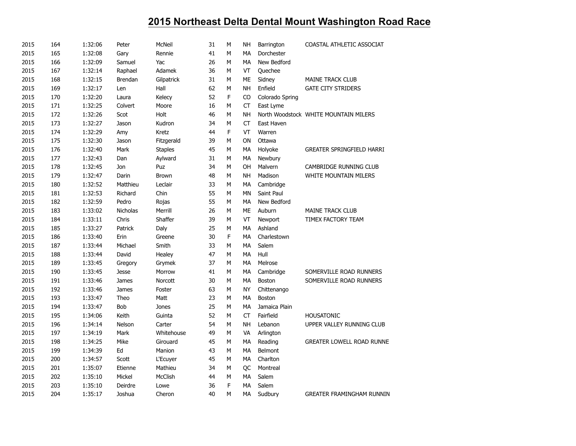| 2015 | 164 | 1:32:06 | Peter          | McNeil         | 31 | м | <b>NH</b>   | Barrington      | COASTAL ATHLETIC ASSOCIAT             |
|------|-----|---------|----------------|----------------|----|---|-------------|-----------------|---------------------------------------|
| 2015 | 165 | 1:32:08 | Gary           | Rennie         | 41 | М | MA          | Dorchester      |                                       |
| 2015 | 166 | 1:32:09 | Samuel         | Yac            | 26 | M | MA          | New Bedford     |                                       |
| 2015 | 167 | 1:32:14 | Raphael        | Adamek         | 36 | M | VT          | Quechee         |                                       |
| 2015 | 168 | 1:32:15 | <b>Brendan</b> | Gilpatrick     | 31 | М | ME          | Sidney          | <b>MAINE TRACK CLUB</b>               |
| 2015 | 169 | 1:32:17 | Len            | Hall           | 62 | M | <b>NH</b>   | Enfield         | <b>GATE CITY STRIDERS</b>             |
| 2015 | 170 | 1:32:20 | Laura          | Kelecy         | 52 | F | $_{\rm CO}$ | Colorado Spring |                                       |
| 2015 | 171 | 1:32:25 | Colvert        | Moore          | 16 | М | СT          | East Lyme       |                                       |
| 2015 | 172 | 1:32:26 | Scot           | Holt           | 46 | M | <b>NH</b>   |                 | North Woodstock WHITE MOUNTAIN MILERS |
| 2015 | 173 | 1:32:27 | Jason          | Kudron         | 34 | М | <b>CT</b>   | East Haven      |                                       |
| 2015 | 174 | 1:32:29 | Amy            | Kretz          | 44 | F | VT          | Warren          |                                       |
| 2015 | 175 | 1:32:30 | Jason          | Fitzgerald     | 39 | М | ON          | Ottawa          |                                       |
| 2015 | 176 | 1:32:40 | Mark           | <b>Staples</b> | 45 | М | MA          | Holyoke         | <b>GREATER SPRINGFIELD HARRI</b>      |
| 2015 | 177 | 1:32:43 | Dan            | Aylward        | 31 | М | MA          | Newbury         |                                       |
| 2015 | 178 | 1:32:45 | Jon            | Puz            | 34 | М | OH          | Malvern         | CAMBRIDGE RUNNING CLUB                |
| 2015 | 179 | 1:32:47 | Darin          | Brown          | 48 | M | <b>NH</b>   | Madison         | <b>WHITE MOUNTAIN MILERS</b>          |
| 2015 | 180 | 1:32:52 | Matthieu       | Leclair        | 33 | M | МA          | Cambridge       |                                       |
| 2015 | 181 | 1:32:53 | Richard        | Chin           | 55 | M | MN          | Saint Paul      |                                       |
| 2015 | 182 | 1:32:59 | Pedro          | Rojas          | 55 | M | MA          | New Bedford     |                                       |
| 2015 | 183 | 1:33:02 | Nicholas       | Merrill        | 26 | М | ME          | Auburn          | <b>MAINE TRACK CLUB</b>               |
| 2015 | 184 | 1:33:11 | Chris          | Shaffer        | 39 | м | VT          | Newport         | TIMEX FACTORY TEAM                    |
| 2015 | 185 | 1:33:27 | Patrick        | Daly           | 25 | м | MA          | Ashland         |                                       |
| 2015 | 186 | 1:33:40 | Erin           | Greene         | 30 | F | MA          | Charlestown     |                                       |
| 2015 | 187 | 1:33:44 | Michael        | Smith          | 33 | M | MA          | Salem           |                                       |
| 2015 | 188 | 1:33:44 | David          | Healey         | 47 | М | <b>MA</b>   | Hull            |                                       |
| 2015 | 189 | 1:33:45 | Gregory        | Grymek         | 37 | М | MA          | Melrose         |                                       |
| 2015 | 190 | 1:33:45 | <b>Jesse</b>   | Morrow         | 41 | М | MA          | Cambridge       | SOMERVILLE ROAD RUNNERS               |
| 2015 | 191 | 1:33:46 | James          | Norcott        | 30 | М | MA          | Boston          | SOMERVILLE ROAD RUNNERS               |
| 2015 | 192 | 1:33:46 | James          | Foster         | 63 | M | NY          | Chittenango     |                                       |
| 2015 | 193 | 1:33:47 | Theo           | Matt           | 23 | M | MA          | <b>Boston</b>   |                                       |
| 2015 | 194 | 1:33:47 | Bob            | Jones          | 25 | М | МA          | Jamaica Plain   |                                       |
| 2015 | 195 | 1:34:06 | Keith          | Guinta         | 52 | М | <b>CT</b>   | Fairfield       | <b>HOUSATONIC</b>                     |
| 2015 | 196 | 1:34:14 | Nelson         | Carter         | 54 | M | <b>NH</b>   | Lebanon         | UPPER VALLEY RUNNING CLUB             |
| 2015 | 197 | 1:34:19 | Mark           | Whitehouse     | 49 | М | VA          | Arlington       |                                       |
| 2015 | 198 | 1:34:25 | Mike           | Girouard       | 45 | М | МA          | Reading         | <b>GREATER LOWELL ROAD RUNNE</b>      |
| 2015 | 199 | 1:34:39 | Ed             | Manion         | 43 | M | MA          | Belmont         |                                       |
| 2015 | 200 | 1:34:57 | Scott          | L'Ecuyer       | 45 | М | МA          | Charlton        |                                       |
| 2015 | 201 | 1:35:07 | Etienne        | Mathieu        | 34 | М | QC          | Montreal        |                                       |
| 2015 | 202 | 1:35:10 | Mickel         | McClish        | 44 | М | MA          | Salem           |                                       |
| 2015 | 203 | 1:35:10 | Deirdre        | Lowe           | 36 | F | MA          | Salem           |                                       |
| 2015 | 204 | 1:35:17 | Joshua         | Cheron         | 40 | M | <b>MA</b>   | Sudbury         | <b>GREATER FRAMINGHAM RUNNIN</b>      |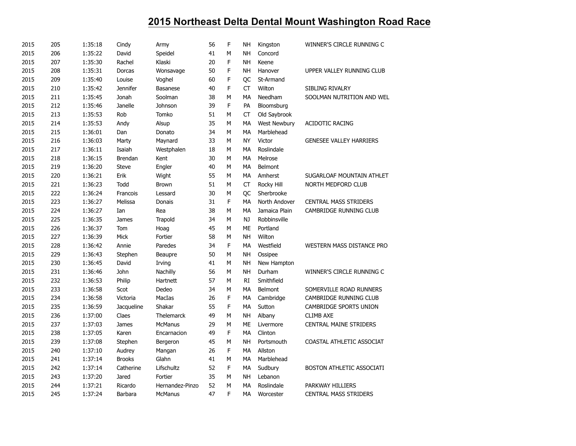| 2015 | 205 | 1:35:18 | Cindy           | Army              | 56 | F | NH        | Kingston      | WINNER'S CIRCLE RUNNING C      |
|------|-----|---------|-----------------|-------------------|----|---|-----------|---------------|--------------------------------|
| 2015 | 206 | 1:35:22 | David           | Speidel           | 41 | M | <b>NH</b> | Concord       |                                |
| 2015 | 207 | 1:35:30 | Rachel          | Klaski            | 20 | F | <b>NH</b> | Keene         |                                |
| 2015 | 208 | 1:35:31 | Dorcas          | Wonsavage         | 50 | F | <b>NH</b> | Hanover       | UPPER VALLEY RUNNING CLUB      |
| 2015 | 209 | 1:35:40 | Louise          | Voghel            | 60 | F | QC        | St-Armand     |                                |
| 2015 | 210 | 1:35:42 | <b>Jennifer</b> | <b>Basanese</b>   | 40 | F | CT        | Wilton        | SIBLING RIVALRY                |
| 2015 | 211 | 1:35:45 | Jonah           | Soolman           | 38 | M | MA        | Needham       | SOOLMAN NUTRITION AND WEL      |
| 2015 | 212 | 1:35:46 | Janelle         | Johnson           | 39 | F | PA        | Bloomsburg    |                                |
| 2015 | 213 | 1:35:53 | Rob             | Tomko             | 51 | М | <b>CT</b> | Old Saybrook  |                                |
| 2015 | 214 | 1:35:53 | Andy            | Alsup             | 35 | м | MA        | West Newbury  | <b>ACIDOTIC RACING</b>         |
| 2015 | 215 | 1:36:01 | Dan             | Donato            | 34 | М | МA        | Marblehead    |                                |
| 2015 | 216 | 1:36:03 | Marty           | Maynard           | 33 | М | <b>NY</b> | Victor        | <b>GENESEE VALLEY HARRIERS</b> |
| 2015 | 217 | 1:36:11 | Isaiah          | Westphalen        | 18 | М | MA        | Roslindale    |                                |
| 2015 | 218 | 1:36:15 | <b>Brendan</b>  | Kent              | 30 | М | MA        | Melrose       |                                |
| 2015 | 219 | 1:36:20 | <b>Steve</b>    | Engler            | 40 | М | MA        | Belmont       |                                |
| 2015 | 220 | 1:36:21 | Erik            | Wight             | 55 | М | MA        | Amherst       | SUGARLOAF MOUNTAIN ATHLET      |
| 2015 | 221 | 1:36:23 | Todd            | <b>Brown</b>      | 51 | М | CT        | Rocky Hill    | NORTH MEDFORD CLUB             |
| 2015 | 222 | 1:36:24 | Francois        | Lessard           | 30 | М | QC        | Sherbrooke    |                                |
| 2015 | 223 | 1:36:27 | Melissa         | Donais            | 31 | F | MA        | North Andover | <b>CENTRAL MASS STRIDERS</b>   |
| 2015 | 224 | 1:36:27 | Ian             | Rea               | 38 | Μ | MA        | Jamaica Plain | CAMBRIDGE RUNNING CLUB         |
| 2015 | 225 | 1:36:35 | James           | Trapold           | 34 | М | NJ        | Robbinsville  |                                |
| 2015 | 226 | 1:36:37 | Tom             | Hoag              | 45 | М | ME        | Portland      |                                |
| 2015 | 227 | 1:36:39 | <b>Mick</b>     | Fortier           | 58 | M | <b>NH</b> | Wilton        |                                |
| 2015 | 228 | 1:36:42 | Annie           | Paredes           | 34 | F | MA        | Westfield     | WESTERN MASS DISTANCE PRO      |
| 2015 | 229 | 1:36:43 | Stephen         | Beaupre           | 50 | М | <b>NH</b> | Ossipee       |                                |
| 2015 | 230 | 1:36:45 | David           | Irving            | 41 | M | <b>NH</b> | New Hampton   |                                |
| 2015 | 231 | 1:36:46 | John            | Nachilly          | 56 | м | <b>NH</b> | Durham        | WINNER'S CIRCLE RUNNING C      |
| 2015 | 232 | 1:36:53 | Philip          | Hartnett          | 57 | М | RI        | Smithfield    |                                |
| 2015 | 233 | 1:36:58 | Scot            | Dedeo             | 34 | М | MA        | Belmont       | SOMERVILLE ROAD RUNNERS        |
| 2015 | 234 | 1:36:58 | Victoria        | MacIas            | 26 | F | MA        | Cambridge     | CAMBRIDGE RUNNING CLUB         |
| 2015 | 235 | 1:36:59 | Jacqueline      | Shakar            | 55 | F | MA        | Sutton        | CAMBRIDGE SPORTS UNION         |
| 2015 | 236 | 1:37:00 | Claes           | <b>Thelemarck</b> | 49 | м | NH        | Albany        | <b>CLIMB AXE</b>               |
| 2015 | 237 | 1:37:03 | <b>James</b>    | <b>McManus</b>    | 29 | м | ME        | Livermore     | <b>CENTRAL MAINE STRIDERS</b>  |
| 2015 | 238 | 1:37:05 | Karen           | Encarnacion       | 49 | F | MA        | Clinton       |                                |
| 2015 | 239 | 1:37:08 | Stephen         | Bergeron          | 45 | Μ | <b>NH</b> | Portsmouth    | COASTAL ATHLETIC ASSOCIAT      |
| 2015 | 240 | 1:37:10 | Audrey          | Mangan            | 26 | F | MA        | Allston       |                                |
| 2015 | 241 | 1:37:14 | <b>Brooks</b>   | Glahn             | 41 | M | MA        | Marblehead    |                                |
| 2015 | 242 | 1:37:14 | Catherine       | Lifschultz        | 52 | F | MA        | Sudbury       | BOSTON ATHLETIC ASSOCIATI      |
| 2015 | 243 | 1:37:20 | Jared           | Fortier           | 35 | М | <b>NH</b> | Lebanon       |                                |
| 2015 | 244 | 1:37:21 | Ricardo         | Hernandez-Pinzo   | 52 | M | MA        | Roslindale    | PARKWAY HILLIERS               |
| 2015 | 245 | 1:37:24 | Barbara         | <b>McManus</b>    | 47 | F | <b>MA</b> | Worcester     | <b>CENTRAL MASS STRIDERS</b>   |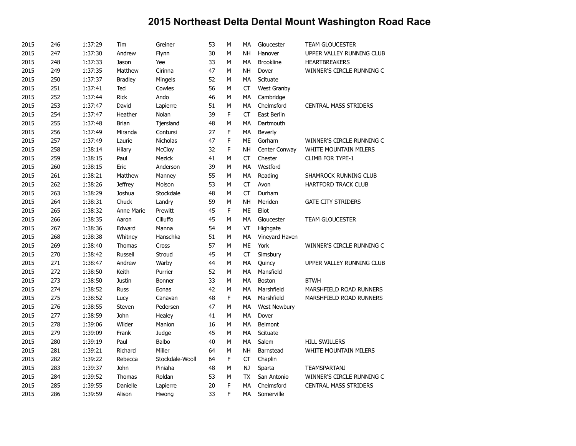| 2015 | 246 | 1:37:29 | Tim            | Greiner         | 53 | M | МA        | Gloucester         | <b>TEAM GLOUCESTER</b>       |
|------|-----|---------|----------------|-----------------|----|---|-----------|--------------------|------------------------------|
| 2015 | 247 | 1:37:30 | Andrew         | Flynn           | 30 | M | <b>NH</b> | Hanover            | UPPER VALLEY RUNNING CLUB    |
| 2015 | 248 | 1:37:33 | Jason          | Yee             | 33 | M | MA        | <b>Brookline</b>   | <b>HEARTBREAKERS</b>         |
| 2015 | 249 | 1:37:35 | Matthew        | Cirinna         | 47 | M | <b>NH</b> | Dover              | WINNER'S CIRCLE RUNNING C    |
| 2015 | 250 | 1:37:37 | <b>Bradley</b> | Mingels         | 52 | M | MA        | Scituate           |                              |
| 2015 | 251 | 1:37:41 | Ted            | Cowles          | 56 | M | <b>CT</b> | <b>West Granby</b> |                              |
| 2015 | 252 | 1:37:44 | <b>Rick</b>    | Ando            | 46 | М | MA        | Cambridge          |                              |
| 2015 | 253 | 1:37:47 | David          | Lapierre        | 51 | M | <b>MA</b> | Chelmsford         | <b>CENTRAL MASS STRIDERS</b> |
| 2015 | 254 | 1:37:47 | Heather        | Nolan           | 39 | F | <b>CT</b> | East Berlin        |                              |
| 2015 | 255 | 1:37:48 | <b>Brian</b>   | Tjersland       | 48 | М | MA        | Dartmouth          |                              |
| 2015 | 256 | 1:37:49 | Miranda        | Contursi        | 27 | F | MA        | Beverly            |                              |
| 2015 | 257 | 1:37:49 | Laurie         | Nicholas        | 47 | F | ME        | Gorham             | WINNER'S CIRCLE RUNNING C    |
| 2015 | 258 | 1:38:14 | Hilary         | McCloy          | 32 | F | <b>NH</b> | Center Conway      | WHITE MOUNTAIN MILERS        |
| 2015 | 259 | 1:38:15 | Paul           | Mezick          | 41 | M | CT        | Chester            | <b>CLIMB FOR TYPE-1</b>      |
| 2015 | 260 | 1:38:15 | Eric           | Anderson        | 39 | M | MA        | Westford           |                              |
| 2015 | 261 | 1:38:21 | Matthew        | Manney          | 55 | M | MA        | Reading            | SHAMROCK RUNNING CLUB        |
| 2015 | 262 | 1:38:26 | <b>Jeffrey</b> | Molson          | 53 | M | CT        | Avon               | <b>HARTFORD TRACK CLUB</b>   |
| 2015 | 263 | 1:38:29 | Joshua         | Stockdale       | 48 | M | CT        | Durham             |                              |
| 2015 | 264 | 1:38:31 | Chuck          | Landry          | 59 | М | <b>NH</b> | Meriden            | <b>GATE CITY STRIDERS</b>    |
| 2015 | 265 | 1:38:32 | Anne Marie     | Prewitt         | 45 | F | <b>ME</b> | Eliot              |                              |
| 2015 | 266 | 1:38:35 | Aaron          | Cilluffo        | 45 | М | МA        | Gloucester         | <b>TEAM GLOUCESTER</b>       |
| 2015 | 267 | 1:38:36 | Edward         | Manna           | 54 | М | VT        | Highgate           |                              |
| 2015 | 268 | 1:38:38 | Whitney        | Hanschka        | 51 | М | МA        | Vineyard Haven     |                              |
| 2015 | 269 | 1:38:40 | Thomas         | Cross           | 57 | M | ME        | York               | WINNER'S CIRCLE RUNNING C    |
| 2015 | 270 | 1:38:42 | Russell        | Stroud          | 45 | M | CT        | Simsbury           |                              |
| 2015 | 271 | 1:38:47 | Andrew         | Warby           | 44 | M | MA        | Quincy             | UPPER VALLEY RUNNING CLUB    |
| 2015 | 272 | 1:38:50 | Keith          | Purrier         | 52 | M | MA        | Mansfield          |                              |
| 2015 | 273 | 1:38:50 | Justin         | <b>Bonner</b>   | 33 | M | MA        | Boston             | <b>BTWH</b>                  |
| 2015 | 274 | 1:38:52 | <b>Russ</b>    | Eonas           | 42 | М | МA        | Marshfield         | MARSHFIELD ROAD RUNNERS      |
| 2015 | 275 | 1:38:52 | Lucy           | Canavan         | 48 | F | MA        | Marshfield         | MARSHFIELD ROAD RUNNERS      |
| 2015 | 276 | 1:38:55 | Steven         | Pedersen        | 47 | M | MA        | West Newbury       |                              |
| 2015 | 277 | 1:38:59 | John           | Healey          | 41 | M | MA        | Dover              |                              |
| 2015 | 278 | 1:39:06 | Wilder         | Manion          | 16 | M | MA        | Belmont            |                              |
| 2015 | 279 | 1:39:09 | Frank          | Judge           | 45 | М | MA        | Scituate           |                              |
| 2015 | 280 | 1:39:19 | Paul           | Balbo           | 40 | M | MA        | Salem              | <b>HILL SWILLERS</b>         |
| 2015 | 281 | 1:39:21 | Richard        | Miller          | 64 | M | <b>NH</b> | Barnstead          | WHITE MOUNTAIN MILERS        |
| 2015 | 282 | 1:39:22 | Rebecca        | Stockdale-Wooll | 64 | F | CT        | Chaplin            |                              |
| 2015 | 283 | 1:39:37 | John           | Piniaha         | 48 | M | NJ        | Sparta             | <b>TEAMSPARTANJ</b>          |
| 2015 | 284 | 1:39:52 | Thomas         | Roldan          | 53 | М | <b>TX</b> | San Antonio        | WINNER'S CIRCLE RUNNING C    |
| 2015 | 285 | 1:39:55 | Danielle       | Lapierre        | 20 | F | MA        | Chelmsford         | <b>CENTRAL MASS STRIDERS</b> |
| 2015 | 286 | 1:39:59 | Alison         | Hwong           | 33 | F | <b>MA</b> | Somerville         |                              |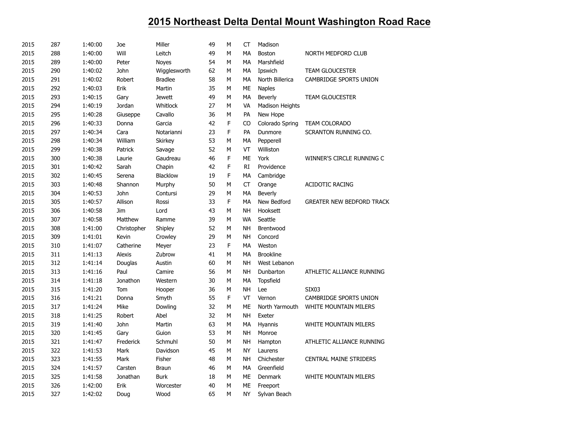| 2015 | 287 | 1:40:00 | Joe           | Miller          | 49 | M | <b>CT</b> | Madison          |                                  |
|------|-----|---------|---------------|-----------------|----|---|-----------|------------------|----------------------------------|
| 2015 | 288 | 1:40:00 | Will          | Leitch          | 49 | М | MA        | Boston           | NORTH MEDFORD CLUB               |
| 2015 | 289 | 1:40:00 | Peter         | <b>Noyes</b>    | 54 | M | MA        | Marshfield       |                                  |
| 2015 | 290 | 1:40:02 | John          | Wigglesworth    | 62 | M | MA        | Ipswich          | <b>TEAM GLOUCESTER</b>           |
| 2015 | 291 | 1:40:02 | Robert        | <b>Bradlee</b>  | 58 | М | MA        | North Billerica  | CAMBRIDGE SPORTS UNION           |
| 2015 | 292 | 1:40:03 | Erik          | Martin          | 35 | М | ME        | <b>Naples</b>    |                                  |
| 2015 | 293 | 1:40:15 | Gary          | <b>Jewett</b>   | 49 | M | MA        | Beverly          | <b>TEAM GLOUCESTER</b>           |
| 2015 | 294 | 1:40:19 | Jordan        | Whitlock        | 27 | M | VA        | Madison Heights  |                                  |
| 2015 | 295 | 1:40:28 | Giuseppe      | Cavallo         | 36 | M | PA        | New Hope         |                                  |
| 2015 | 296 | 1:40:33 | Donna         | Garcia          | 42 | F | CO        | Colorado Spring  | <b>TEAM COLORADO</b>             |
| 2015 | 297 | 1:40:34 | Cara          | Notarianni      | 23 | F | PA        | Dunmore          | SCRANTON RUNNING CO.             |
| 2015 | 298 | 1:40:34 | William       | Skirkey         | 53 | М | МA        | Pepperell        |                                  |
| 2015 | 299 | 1:40:38 | Patrick       | Savage          | 52 | M | VT        | Williston        |                                  |
| 2015 | 300 | 1:40:38 | Laurie        | Gaudreau        | 46 | F | <b>ME</b> | York             | WINNER'S CIRCLE RUNNING C        |
| 2015 | 301 | 1:40:42 | Sarah         | Chapin          | 42 | F | RI.       | Providence       |                                  |
| 2015 | 302 | 1:40:45 | Serena        | <b>Blacklow</b> | 19 | F | MA        | Cambridge        |                                  |
| 2015 | 303 | 1:40:48 | Shannon       | Murphy          | 50 | М | CT        | Orange           | <b>ACIDOTIC RACING</b>           |
| 2015 | 304 | 1:40:53 | John          | Contursi        | 29 | M | MA        | <b>Beverly</b>   |                                  |
| 2015 | 305 | 1:40:57 | Allison       | Rossi           | 33 | F | MA        | New Bedford      | <b>GREATER NEW BEDFORD TRACK</b> |
| 2015 | 306 | 1:40:58 | Jim           | Lord            | 43 | M | <b>NH</b> | Hooksett         |                                  |
| 2015 | 307 | 1:40:58 | Matthew       | Ramme           | 39 | М | <b>WA</b> | Seattle          |                                  |
| 2015 | 308 | 1:41:00 | Christopher   | Shipley         | 52 | M | <b>NH</b> | Brentwood        |                                  |
| 2015 | 309 | 1:41:01 | Kevin         | Crowley         | 29 | M | <b>NH</b> | Concord          |                                  |
| 2015 | 310 | 1:41:07 | Catherine     | Meyer           | 23 | F | <b>MA</b> | Weston           |                                  |
| 2015 | 311 | 1:41:13 | <b>Alexis</b> | Zubrow          | 41 | М | <b>MA</b> | <b>Brookline</b> |                                  |
| 2015 | 312 | 1:41:14 | Douglas       | Austin          | 60 | M | <b>NH</b> | West Lebanon     |                                  |
| 2015 | 313 | 1:41:16 | Paul          | Camire          | 56 | М | <b>NH</b> | Dunbarton        | ATHLETIC ALLIANCE RUNNING        |
| 2015 | 314 | 1:41:18 | Jonathon      | Western         | 30 | M | MA        | <b>Topsfield</b> |                                  |
| 2015 | 315 | 1:41:20 | Tom           | Hooper          | 36 | M | <b>NH</b> | Lee              | <b>SIX03</b>                     |
| 2015 | 316 | 1:41:21 | Donna         | Smyth           | 55 | F | VT        | Vernon           | CAMBRIDGE SPORTS UNION           |
| 2015 | 317 | 1:41:24 | Mike          | Dowling         | 32 | M | <b>ME</b> | North Yarmouth   | WHITE MOUNTAIN MILERS            |
| 2015 | 318 | 1:41:25 | Robert        | Abel            | 32 | M | <b>NH</b> | Exeter           |                                  |
| 2015 | 319 | 1:41:40 | John          | Martin          | 63 | М | MA        | Hyannis          | <b>WHITE MOUNTAIN MILERS</b>     |
| 2015 | 320 | 1:41:45 | Gary          | Guion           | 53 | М | <b>NH</b> | Monroe           |                                  |
| 2015 | 321 | 1:41:47 | Frederick     | Schmuhl         | 50 | M | <b>NH</b> | Hampton          | ATHLETIC ALLIANCE RUNNING        |
| 2015 | 322 | 1:41:53 | Mark          | Davidson        | 45 | М | <b>NY</b> | Laurens          |                                  |
| 2015 | 323 | 1:41:55 | Mark          | Fisher          | 48 | M | <b>NH</b> | Chichester       | <b>CENTRAL MAINE STRIDERS</b>    |
| 2015 | 324 | 1:41:57 | Carsten       | <b>Braun</b>    | 46 | M | <b>MA</b> | Greenfield       |                                  |
| 2015 | 325 | 1:41:58 | Jonathan      | <b>Burk</b>     | 18 | М | ME        | Denmark          | <b>WHITE MOUNTAIN MILERS</b>     |
| 2015 | 326 | 1:42:00 | Erik          | Worcester       | 40 | M | ME        | Freeport         |                                  |
| 2015 | 327 | 1:42:02 | Doug          | Wood            | 65 | М | <b>NY</b> | Sylvan Beach     |                                  |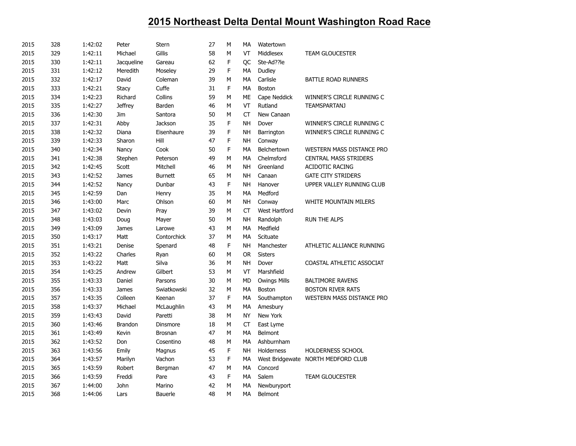| 2015 | 328 | 1:42:02 | Peter          | Stern          | 27 | M | MA        | Watertown            |                                    |
|------|-----|---------|----------------|----------------|----|---|-----------|----------------------|------------------------------------|
| 2015 | 329 | 1:42:11 | Michael        | Gillis         | 58 | М | VT        | Middlesex            | <b>TEAM GLOUCESTER</b>             |
| 2015 | 330 | 1:42:11 | Jacqueline     | Gareau         | 62 | F | ОC        | Ste-Ad??le           |                                    |
| 2015 | 331 | 1:42:12 | Meredith       | Moseley        | 29 | F | MA        | Dudley               |                                    |
| 2015 | 332 | 1:42:17 | David          | Coleman        | 39 | M | МA        | Carlisle             | BATTLE ROAD RUNNERS                |
| 2015 | 333 | 1:42:21 | <b>Stacy</b>   | Cuffe          | 31 | F | МA        | Boston               |                                    |
| 2015 | 334 | 1:42:23 | Richard        | Collins        | 59 | M | <b>ME</b> | Cape Neddick         | WINNER'S CIRCLE RUNNING C          |
| 2015 | 335 | 1:42:27 | <b>Jeffrey</b> | Barden         | 46 | М | VT        | Rutland              | TEAMSPARTANJ                       |
| 2015 | 336 | 1:42:30 | Jim            | Santora        | 50 | М | <b>CT</b> | New Canaan           |                                    |
| 2015 | 337 | 1:42:31 | Abby           | Jackson        | 35 | F | <b>NH</b> | Dover                | WINNER'S CIRCLE RUNNING C          |
| 2015 | 338 | 1:42:32 | Diana          | Eisenhaure     | 39 | F | <b>NH</b> | Barrington           | WINNER'S CIRCLE RUNNING C          |
| 2015 | 339 | 1:42:33 | Sharon         | Hill           | 47 | F | <b>NH</b> | Conway               |                                    |
| 2015 | 340 | 1:42:34 | Nancy          | Cook           | 50 | F | MA        | Belchertown          | WESTERN MASS DISTANCE PRO          |
| 2015 | 341 | 1:42:38 | Stephen        | Peterson       | 49 | М | MA        | Chelmsford           | <b>CENTRAL MASS STRIDERS</b>       |
| 2015 | 342 | 1:42:45 | Scott          | Mitchell       | 46 | М | <b>NH</b> | Greenland            | <b>ACIDOTIC RACING</b>             |
| 2015 | 343 | 1:42:52 | James          | <b>Burnett</b> | 65 | M | <b>NH</b> | Canaan               | <b>GATE CITY STRIDERS</b>          |
| 2015 | 344 | 1:42:52 | Nancy          | Dunbar         | 43 | F | <b>NH</b> | Hanover              | UPPER VALLEY RUNNING CLUB          |
| 2015 | 345 | 1:42:59 | Dan            | Henry          | 35 | М | MA        | Medford              |                                    |
| 2015 | 346 | 1:43:00 | Marc           | Ohlson         | 60 | М | <b>NH</b> | Conway               | <b>WHITE MOUNTAIN MILERS</b>       |
| 2015 | 347 | 1:43:02 | Devin          | Pray           | 39 | М | <b>CT</b> | <b>West Hartford</b> |                                    |
| 2015 | 348 | 1:43:03 | Doug           | Mayer          | 50 | M | <b>NH</b> | Randolph             | <b>RUN THE ALPS</b>                |
| 2015 | 349 | 1:43:09 | James          | Larowe         | 43 | М | МA        | Medfield             |                                    |
| 2015 | 350 | 1:43:17 | Matt           | Contorchick    | 37 | M | MA        | Scituate             |                                    |
| 2015 | 351 | 1:43:21 | Denise         | Spenard        | 48 | F | <b>NH</b> | Manchester           | ATHLETIC ALLIANCE RUNNING          |
| 2015 | 352 | 1:43:22 | Charles        | Ryan           | 60 | М | <b>OR</b> | <b>Sisters</b>       |                                    |
| 2015 | 353 | 1:43:22 | Matt           | Silva          | 36 | М | <b>NH</b> | Dover                | COASTAL ATHLETIC ASSOCIAT          |
| 2015 | 354 | 1:43:25 | Andrew         | Gilbert        | 53 | M | VT        | Marshfield           |                                    |
| 2015 | 355 | 1:43:33 | Daniel         | Parsons        | 30 | М | <b>MD</b> | <b>Owings Mills</b>  | <b>BALTIMORE RAVENS</b>            |
| 2015 | 356 | 1:43:33 | James          | Swiatkowski    | 32 | M | MA        | Boston               | <b>BOSTON RIVER RATS</b>           |
| 2015 | 357 | 1:43:35 | Colleen        | Keenan         | 37 | F | MA        | Southampton          | WESTERN MASS DISTANCE PRO          |
| 2015 | 358 | 1:43:37 | Michael        | McLaughlin     | 43 | М | MA        | Amesbury             |                                    |
| 2015 | 359 | 1:43:43 | David          | Paretti        | 38 | М | <b>NY</b> | New York             |                                    |
| 2015 | 360 | 1:43:46 | <b>Brandon</b> | Dinsmore       | 18 | М | <b>CT</b> | East Lyme            |                                    |
| 2015 | 361 | 1:43:49 | Kevin          | Brosnan        | 47 | М | MA        | Belmont              |                                    |
| 2015 | 362 | 1:43:52 | Don            | Cosentino      | 48 | M | MA        | Ashburnham           |                                    |
| 2015 | 363 | 1:43:56 | Emily          | Magnus         | 45 | F | <b>NH</b> | Holderness           | <b>HOLDERNESS SCHOOL</b>           |
| 2015 | 364 | 1:43:57 | Marilyn        | Vachon         | 53 | F | <b>MA</b> |                      | West Bridgewate NORTH MEDFORD CLUB |
| 2015 | 365 | 1:43:59 | Robert         | Bergman        | 47 | М | MA        | Concord              |                                    |
| 2015 | 366 | 1:43:59 | Freddi         | Pare           | 43 | F | MA        | Salem                | <b>TEAM GLOUCESTER</b>             |
| 2015 | 367 | 1:44:00 | John           | Marino         | 42 | M | MA        | Newburyport          |                                    |
| 2015 | 368 | 1:44:06 | Lars           | Bauerle        | 48 | M | <b>MA</b> | Belmont              |                                    |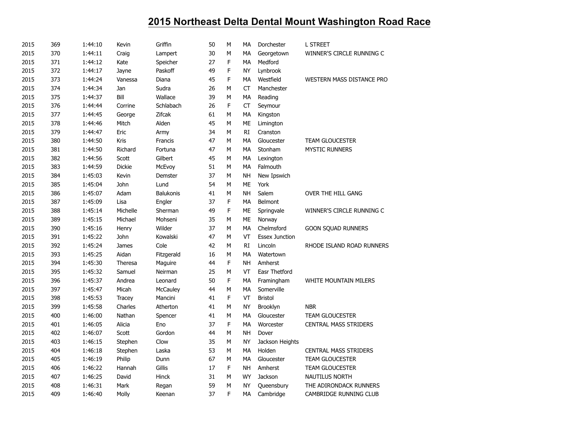| 2015 | 369 | 1:44:10 | Kevin         | Griffin    | 50 | M           | МA        | Dorchester            | <b>L STREET</b>              |
|------|-----|---------|---------------|------------|----|-------------|-----------|-----------------------|------------------------------|
| 2015 | 370 | 1:44:11 | Craig         | Lampert    | 30 | M           | MA        | Georgetown            | WINNER'S CIRCLE RUNNING C    |
| 2015 | 371 | 1:44:12 | Kate          | Speicher   | 27 | F           | MA        | Medford               |                              |
| 2015 | 372 | 1:44:17 | Jayne         | Paskoff    | 49 | F           | NY        | Lynbrook              |                              |
| 2015 | 373 | 1:44:24 | Vanessa       | Diana      | 45 | F           | MA        | Westfield             | WESTERN MASS DISTANCE PRO    |
| 2015 | 374 | 1:44:34 | Jan           | Sudra      | 26 | M           | CT        | Manchester            |                              |
| 2015 | 375 | 1:44:37 | Bill          | Wallace    | 39 | M           | MA        | Reading               |                              |
| 2015 | 376 | 1:44:44 | Corrine       | Schlabach  | 26 | F           | <b>CT</b> | Seymour               |                              |
| 2015 | 377 | 1:44:45 | George        | Zifcak     | 61 | М           | MA        | Kingston              |                              |
| 2015 | 378 | 1:44:46 | Mitch         | Alden      | 45 | M           | <b>ME</b> | Limington             |                              |
| 2015 | 379 | 1:44:47 | Eric          | Army       | 34 | M           | RI        | Cranston              |                              |
| 2015 | 380 | 1:44:50 | Kris          | Francis    | 47 | M           | <b>MA</b> | Gloucester            | <b>TEAM GLOUCESTER</b>       |
| 2015 | 381 | 1:44:50 | Richard       | Fortuna    | 47 | M           | <b>MA</b> | Stonham               | <b>MYSTIC RUNNERS</b>        |
| 2015 | 382 | 1:44:56 | Scott         | Gilbert    | 45 | М           | МA        | Lexington             |                              |
| 2015 | 383 | 1:44:59 | <b>Dickie</b> | McEvoy     | 51 | M           | MA        | Falmouth              |                              |
| 2015 | 384 | 1:45:03 | Kevin         | Demster    | 37 | M           | NΗ        | New Ipswich           |                              |
| 2015 | 385 | 1:45:04 | John          | Lund       | 54 | М           | ME        | York                  |                              |
| 2015 | 386 | 1:45:07 | Adam          | Balukonis  | 41 | M           | <b>NH</b> | Salem                 | OVER THE HILL GANG           |
| 2015 | 387 | 1:45:09 | Lisa          | Engler     | 37 | F           | MA        | Belmont               |                              |
| 2015 | 388 | 1:45:14 | Michelle      | Sherman    | 49 | F           | ME        | Springvale            | WINNER'S CIRCLE RUNNING C    |
| 2015 | 389 | 1:45:15 | Michael       | Mohseni    | 35 | M           | <b>ME</b> | Norway                |                              |
| 2015 | 390 | 1:45:16 | Henry         | Wilder     | 37 | M           | MA        | Chelmsford            | <b>GOON SQUAD RUNNERS</b>    |
| 2015 | 391 | 1:45:22 | John          | Kowalski   | 47 | М           | VT        | <b>Essex Junction</b> |                              |
| 2015 | 392 | 1:45:24 | James         | Cole       | 42 | M           | RI        | Lincoln               | RHODE ISLAND ROAD RUNNERS    |
| 2015 | 393 | 1:45:25 | Aidan         | Fitzgerald | 16 | M           | <b>MA</b> | Watertown             |                              |
| 2015 | 394 | 1:45:30 | Theresa       | Maguire    | 44 | F           | <b>NH</b> | Amherst               |                              |
| 2015 | 395 | 1:45:32 | Samuel        | Neirman    | 25 | M           | VT        | Easr Thetford         |                              |
| 2015 | 396 | 1:45:37 | Andrea        | Leonard    | 50 | F           | MA        | Framingham            | WHITE MOUNTAIN MILERS        |
| 2015 | 397 | 1:45:47 | Micah         | McCauley   | 44 | M           | <b>MA</b> | Somerville            |                              |
| 2015 | 398 | 1:45:53 | <b>Tracey</b> | Mancini    | 41 | $\mathsf F$ | VT        | <b>Bristol</b>        |                              |
| 2015 | 399 | 1:45:58 | Charles       | Atherton   | 41 | М           | NY        | Brooklyn              | <b>NBR</b>                   |
| 2015 | 400 | 1:46:00 | Nathan        | Spencer    | 41 | M           | <b>MA</b> | Gloucester            | <b>TEAM GLOUCESTER</b>       |
| 2015 | 401 | 1:46:05 | Alicia        | Eno        | 37 | F           | MA        | Worcester             | <b>CENTRAL MASS STRIDERS</b> |
| 2015 | 402 | 1:46:07 | Scott         | Gordon     | 44 | М           | NΗ        | Dover                 |                              |
| 2015 | 403 | 1:46:15 | Stephen       | Clow       | 35 | M           | <b>NY</b> | Jackson Heights       |                              |
| 2015 | 404 | 1:46:18 | Stephen       | Laska      | 53 | M           | MA        | Holden                | <b>CENTRAL MASS STRIDERS</b> |
| 2015 | 405 | 1:46:19 | Philip        | Dunn       | 67 | М           | МA        | Gloucester            | <b>TEAM GLOUCESTER</b>       |
| 2015 | 406 | 1:46:22 | Hannah        | Gillis     | 17 | F           | <b>NH</b> | Amherst               | <b>TEAM GLOUCESTER</b>       |
| 2015 | 407 | 1:46:25 | David         | Hinck      | 31 | M           | <b>WY</b> | Jackson               | <b>NAUTILUS NORTH</b>        |
| 2015 | 408 | 1:46:31 | Mark          | Regan      | 59 | M           | <b>NY</b> | Queensbury            | THE ADIRONDACK RUNNERS       |
| 2015 | 409 | 1:46:40 | Molly         | Keenan     | 37 | F           | MA        | Cambridge             | CAMBRIDGE RUNNING CLUB       |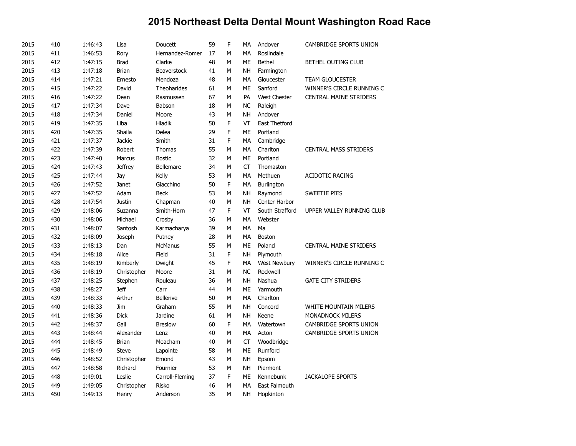| 2015 | 410 | 1:46:43 | Lisa           | Doucett            | 59 | F           | МA        | Andover              | CAMBRIDGE SPORTS UNION        |
|------|-----|---------|----------------|--------------------|----|-------------|-----------|----------------------|-------------------------------|
| 2015 | 411 | 1:46:53 | Rory           | Hernandez-Romer    | 17 | M           | MA        | Roslindale           |                               |
| 2015 | 412 | 1:47:15 | <b>Brad</b>    | Clarke             | 48 | М           | ME        | <b>Bethel</b>        | BETHEL OUTING CLUB            |
| 2015 | 413 | 1:47:18 | <b>Brian</b>   | <b>Beaverstock</b> | 41 | M           | <b>NH</b> | Farmington           |                               |
| 2015 | 414 | 1:47:21 | Ernesto        | Mendoza            | 48 | М           | MA        | Gloucester           | <b>TEAM GLOUCESTER</b>        |
| 2015 | 415 | 1:47:22 | David          | Theoharides        | 61 | М           | ME        | Sanford              | WINNER'S CIRCLE RUNNING C     |
| 2015 | 416 | 1:47:22 | Dean           | Rasmussen          | 67 | М           | PA        | <b>West Chester</b>  | <b>CENTRAL MAINE STRIDERS</b> |
| 2015 | 417 | 1:47:34 | Dave           | Babson             | 18 | М           | <b>NC</b> | Raleigh              |                               |
| 2015 | 418 | 1:47:34 | Daniel         | Moore              | 43 | М           | NH        | Andover              |                               |
| 2015 | 419 | 1:47:35 | Liba           | Hladik             | 50 | F           | VT        | East Thetford        |                               |
| 2015 | 420 | 1:47:35 | Shaila         | Delea              | 29 | F           | ME        | Portland             |                               |
| 2015 | 421 | 1:47:37 | Jackie         | Smith              | 31 | F           | MA        | Cambridge            |                               |
| 2015 | 422 | 1:47:39 | Robert         | Thomas             | 55 | M           | <b>MA</b> | Charlton             | <b>CENTRAL MASS STRIDERS</b>  |
| 2015 | 423 | 1:47:40 | Marcus         | <b>Bostic</b>      | 32 | М           | <b>ME</b> | Portland             |                               |
| 2015 | 424 | 1:47:43 | <b>Jeffrey</b> | <b>Bellemare</b>   | 34 | М           | <b>CT</b> | Thomaston            |                               |
| 2015 | 425 | 1:47:44 | Jay            | Kelly              | 53 | М           | MA        | Methuen              | <b>ACIDOTIC RACING</b>        |
| 2015 | 426 | 1:47:52 | Janet          | Giacchino          | 50 | F           | MA        | Burlington           |                               |
| 2015 | 427 | 1:47:52 | Adam           | <b>Beck</b>        | 53 | M           | NH        | Raymond              | <b>SWEETIE PIES</b>           |
| 2015 | 428 | 1:47:54 | Justin         | Chapman            | 40 | М           | <b>NH</b> | Center Harbor        |                               |
| 2015 | 429 | 1:48:06 | Suzanna        | Smith-Horn         | 47 | F           | VT        | South Strafford      | UPPER VALLEY RUNNING CLUB     |
| 2015 | 430 | 1:48:06 | Michael        | Crosby             | 36 | М           | MA        | Webster              |                               |
| 2015 | 431 | 1:48:07 | Santosh        | Karmacharya        | 39 | М           | MA        | Ma                   |                               |
| 2015 | 432 | 1:48:09 | Joseph         | Putney             | 28 | М           | МA        | Boston               |                               |
| 2015 | 433 | 1:48:13 | Dan            | <b>McManus</b>     | 55 | M           | ME        | Poland               | <b>CENTRAL MAINE STRIDERS</b> |
| 2015 | 434 | 1:48:18 | Alice          | Field              | 31 | F           | <b>NH</b> | Plymouth             |                               |
| 2015 | 435 | 1:48:19 | Kimberly       | Dwight             | 45 | $\mathsf F$ | MA        | West Newbury         | WINNER'S CIRCLE RUNNING C     |
| 2015 | 436 | 1:48:19 | Christopher    | Moore              | 31 | М           | <b>NC</b> | Rockwell             |                               |
| 2015 | 437 | 1:48:25 | Stephen        | Rouleau            | 36 | M           | <b>NH</b> | Nashua               | <b>GATE CITY STRIDERS</b>     |
| 2015 | 438 | 1:48:27 | <b>Jeff</b>    | Carr               | 44 | М           | ME        | Yarmouth             |                               |
| 2015 | 439 | 1:48:33 | Arthur         | <b>Bellerive</b>   | 50 | М           | MA        | Charlton             |                               |
| 2015 | 440 | 1:48:33 | Jim            | Graham             | 55 | М           | <b>NH</b> | Concord              | WHITE MOUNTAIN MILERS         |
| 2015 | 441 | 1:48:36 | <b>Dick</b>    | Jardine            | 61 | М           | NH        | Keene                | <b>MONADNOCK MILERS</b>       |
| 2015 | 442 | 1:48:37 | Gail           | <b>Breslow</b>     | 60 | F           | <b>MA</b> | Watertown            | CAMBRIDGE SPORTS UNION        |
| 2015 | 443 | 1:48:44 | Alexander      | Lenz               | 40 | М           | МA        | Acton                | CAMBRIDGE SPORTS UNION        |
| 2015 | 444 | 1:48:45 | <b>Brian</b>   | Meacham            | 40 | M           | <b>CT</b> | Woodbridge           |                               |
| 2015 | 445 | 1:48:49 | <b>Steve</b>   | Lapointe           | 58 | M           | ME        | Rumford              |                               |
| 2015 | 446 | 1:48:52 | Christopher    | Emond              | 43 | M           | <b>NH</b> | Epsom                |                               |
| 2015 | 447 | 1:48:58 | Richard        | Fournier           | 53 | М           | <b>NH</b> | Piermont             |                               |
| 2015 | 448 | 1:49:01 | Leslie         | Carroll-Fleming    | 37 | F           | ME        | Kennebunk            | <b>JACKALOPE SPORTS</b>       |
| 2015 | 449 | 1:49:05 | Christopher    | <b>Risko</b>       | 46 | М           | MA        | <b>East Falmouth</b> |                               |
| 2015 | 450 | 1:49:13 | Henry          | Anderson           | 35 | M           | <b>NH</b> | Hopkinton            |                               |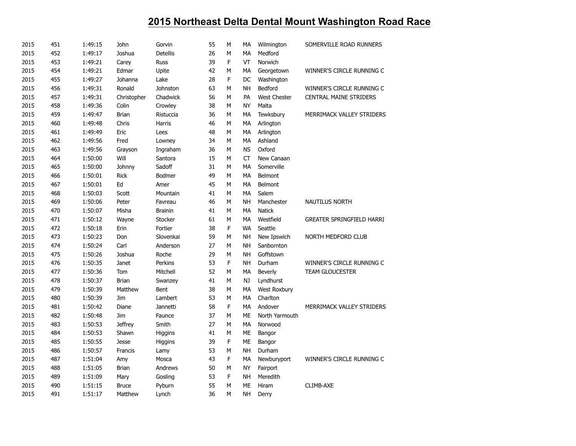| 2015 | 451 | 1:49:15 | John           | Gorvin          | 55 | M | MA        | Wilmington          | SOMERVILLE ROAD RUNNERS          |
|------|-----|---------|----------------|-----------------|----|---|-----------|---------------------|----------------------------------|
| 2015 | 452 | 1:49:17 | Joshua         | <b>Detellis</b> | 26 | M | MA        | Medford             |                                  |
| 2015 | 453 | 1:49:21 | Carey          | <b>Russ</b>     | 39 | F | VT        | Norwich             |                                  |
| 2015 | 454 | 1:49:21 | Edmar          | Upite           | 42 | M | MA        | Georgetown          | WINNER'S CIRCLE RUNNING C        |
| 2015 | 455 | 1:49:27 | Johanna        | Lake            | 28 | F | DC        | Washington          |                                  |
| 2015 | 456 | 1:49:31 | Ronald         | Johnston        | 63 | M | <b>NH</b> | Bedford             | WINNER'S CIRCLE RUNNING C        |
| 2015 | 457 | 1:49:31 | Christopher    | Chadwick        | 56 | M | PA        | <b>West Chester</b> | <b>CENTRAL MAINE STRIDERS</b>    |
| 2015 | 458 | 1:49:36 | Colin          | Crowley         | 38 | M | <b>NY</b> | Malta               |                                  |
| 2015 | 459 | 1:49:47 | <b>Brian</b>   | Ristuccia       | 36 | M | MA        | Tewksbury           | MERRIMACK VALLEY STRIDERS        |
| 2015 | 460 | 1:49:48 | Chris          | Harris          | 46 | М | MA        | Arlington           |                                  |
| 2015 | 461 | 1:49:49 | Eric           | Lees            | 48 | M | MA        | Arlington           |                                  |
| 2015 | 462 | 1:49:56 | Fred           | Lowney          | 34 | M | MA        | Ashland             |                                  |
| 2015 | 463 | 1:49:56 | Grayson        | Ingraham        | 36 | M | <b>NS</b> | Oxford              |                                  |
| 2015 | 464 | 1:50:00 | Will           | Santora         | 15 | М | CT        | New Canaan          |                                  |
| 2015 | 465 | 1:50:00 | Johnny         | Sadoff          | 31 | M | MA        | Somerville          |                                  |
| 2015 | 466 | 1:50:01 | <b>Rick</b>    | Bodmer          | 49 | M | MA        | Belmont             |                                  |
| 2015 | 467 | 1:50:01 | Ed             | Amer            | 45 | М | МA        | Belmont             |                                  |
| 2015 | 468 | 1:50:03 | Scott          | Mountain        | 41 | M | MA        | Salem               |                                  |
| 2015 | 469 | 1:50:06 | Peter          | Favreau         | 46 | M | <b>NH</b> | Manchester          | <b>NAUTILUS NORTH</b>            |
| 2015 | 470 | 1:50:07 | Misha          | <b>Brainin</b>  | 41 | М | MA        | <b>Natick</b>       |                                  |
| 2015 | 471 | 1:50:12 | Wayne          | Stocker         | 61 | M | MA        | Westfield           | <b>GREATER SPRINGFIELD HARRI</b> |
| 2015 | 472 | 1:50:18 | Erin           | Fortier         | 38 | F | WA        | Seattle             |                                  |
| 2015 | 473 | 1:50:23 | Don            | Slovenkai       | 59 | M | <b>NH</b> | New Ipswich         | NORTH MEDFORD CLUB               |
| 2015 | 474 | 1:50:24 | Carl           | Anderson        | 27 | M | <b>NH</b> | Sanbornton          |                                  |
| 2015 | 475 | 1:50:26 | Joshua         | Roche           | 29 | M | <b>NH</b> | Goffstown           |                                  |
| 2015 | 476 | 1:50:35 | Janet          | Perkins         | 53 | F | <b>NH</b> | Durham              | WINNER'S CIRCLE RUNNING C        |
| 2015 | 477 | 1:50:36 | Tom            | Mitchell        | 52 | М | MA        | <b>Beverly</b>      | <b>TEAM GLOUCESTER</b>           |
| 2015 | 478 | 1:50:37 | <b>Brian</b>   | Swanzey         | 41 | M | NJ        | Lyndhurst           |                                  |
| 2015 | 479 | 1:50:39 | Matthew        | Bent            | 38 | M | MA        | West Roxbury        |                                  |
| 2015 | 480 | 1:50:39 | Jim            | Lambert         | 53 | M | MA        | Charlton            |                                  |
| 2015 | 481 | 1:50:42 | Diane          | Jannetti        | 58 | F | MA        | Andover             | MERRIMACK VALLEY STRIDERS        |
| 2015 | 482 | 1:50:48 | Jim            | Faunce          | 37 | M | <b>ME</b> | North Yarmouth      |                                  |
| 2015 | 483 | 1:50:53 | <b>Jeffrey</b> | Smith           | 27 | М | MA        | Norwood             |                                  |
| 2015 | 484 | 1:50:53 | Shawn          | Higgins         | 41 | M | ME        | Bangor              |                                  |
| 2015 | 485 | 1:50:55 | <b>Jesse</b>   | Higgins         | 39 | F | ME        | Bangor              |                                  |
| 2015 | 486 | 1:50:57 | Francis        | Lamy            | 53 | М | <b>NH</b> | Durham              |                                  |
| 2015 | 487 | 1:51:04 | Amy            | Mosca           | 43 | F | MA        | Newburyport         | WINNER'S CIRCLE RUNNING C        |
| 2015 | 488 | 1:51:05 | <b>Brian</b>   | Andrews         | 50 | M | <b>NY</b> | Fairport            |                                  |
| 2015 | 489 | 1:51:09 | Mary           | Gosling         | 53 | F | <b>NH</b> | Meredith            |                                  |
| 2015 | 490 | 1:51:15 | <b>Bruce</b>   | Pyburn          | 55 | M | <b>ME</b> | Hiram               | CLIMB-AXE                        |
| 2015 | 491 | 1:51:17 | Matthew        | Lynch           | 36 | M | <b>NH</b> | Derry               |                                  |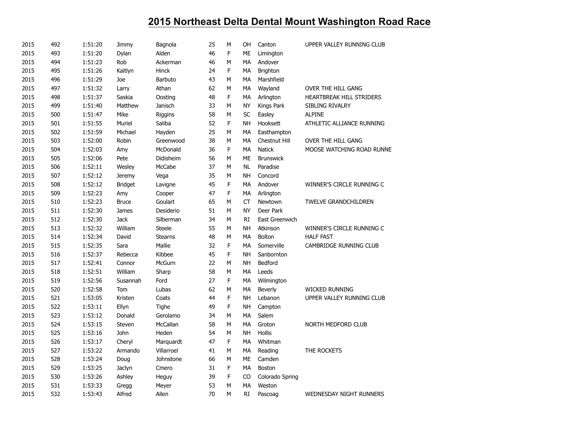| 2015 | 492 | 1:51:20 | Jimmy          | Bagnola        | 25 | M | OH         | Canton           | UPPER VALLEY RUNNING CLUB      |
|------|-----|---------|----------------|----------------|----|---|------------|------------------|--------------------------------|
| 2015 | 493 | 1:51:20 | Dylan          | Alden          | 46 | F | ME         | Limington        |                                |
| 2015 | 494 | 1:51:23 | Rob            | Ackerman       | 46 | M | MA         | Andover          |                                |
| 2015 | 495 | 1:51:26 | Kaitlyn        | Hinck          | 24 | F | МA         | Brighton         |                                |
| 2015 | 496 | 1:51:29 | Joe            | Barbuto        | 43 | M | МA         | Marshfield       |                                |
| 2015 | 497 | 1:51:32 | Larry          | Athan          | 62 | M | MA         | Wayland          | OVER THE HILL GANG             |
| 2015 | 498 | 1:51:37 | Saskia         | Oosting        | 48 | F | MA         | Arlington        | HEARTBREAK HILL STRIDERS       |
| 2015 | 499 | 1:51:40 | Matthew        | Janisch        | 33 | M | <b>NY</b>  | Kings Park       | SIBLING RIVALRY                |
| 2015 | 500 | 1:51:47 | Mike           | Riggins        | 58 | M | <b>SC</b>  | Easley           | <b>ALPINE</b>                  |
| 2015 | 501 | 1:51:55 | Muriel         | Saliba         | 52 | F | <b>NH</b>  | Hooksett         | ATHLETIC ALLIANCE RUNNING      |
| 2015 | 502 | 1:51:59 | Michael        | Hayden         | 25 | M | МA         | Easthampton      |                                |
| 2015 | 503 | 1:52:00 | Robin          | Greenwood      | 38 | M | MA         | Chestnut Hill    | OVER THE HILL GANG             |
| 2015 | 504 | 1:52:03 | Amy            | McDonald       | 36 | F | MA         | <b>Natick</b>    | MOOSE WATCHING ROAD RUNNE      |
| 2015 | 505 | 1:52:06 | Pete           | Didisheim      | 56 | M | ME         | <b>Brunswick</b> |                                |
| 2015 | 506 | 1:52:11 | Wesley         | McCabe         | 37 | М | <b>NL</b>  | Paradise         |                                |
| 2015 | 507 | 1:52:12 | <b>Jeremy</b>  | Vega           | 35 | M | <b>NH</b>  | Concord          |                                |
| 2015 | 508 | 1:52:12 | <b>Bridget</b> | Lavigne        | 45 | F | МA         | Andover          | WINNER'S CIRCLE RUNNING C      |
| 2015 | 509 | 1:52:23 | Amy            | Cooper         | 47 | F | MA         | Arlington        |                                |
| 2015 | 510 | 1:52:23 | <b>Bruce</b>   | Goulart        | 65 | M | ${\sf CT}$ | Newtown          | <b>TWELVE GRANDCHILDREN</b>    |
| 2015 | 511 | 1:52:30 | James          | Desiderio      | 51 | M | <b>NY</b>  | Deer Park        |                                |
| 2015 | 512 | 1:52:30 | <b>Jack</b>    | Silberman      | 34 | М | RI         | East Greenwich   |                                |
| 2015 | 513 | 1:52:32 | William        | <b>Steele</b>  | 55 | M | NH         | Atkinson         | WINNER'S CIRCLE RUNNING C      |
| 2015 | 514 | 1:52:34 | David          | <b>Stearns</b> | 48 | M | МA         | Bolton           | <b>HALF FAST</b>               |
| 2015 | 515 | 1:52:35 | Sara           | Mallie         | 32 | F | MA         | Somerville       | CAMBRIDGE RUNNING CLUB         |
| 2015 | 516 | 1:52:37 | Rebecca        | Kibbee         | 45 | F | <b>NH</b>  | Sanbornton       |                                |
| 2015 | 517 | 1:52:41 | Connor         | McGurn         | 22 | M | <b>NH</b>  | Bedford          |                                |
| 2015 | 518 | 1:52:51 | William        | Sharp          | 58 | M | MA         | Leeds            |                                |
| 2015 | 519 | 1:52:56 | Susannah       | Ford           | 27 | F | МA         | Wilmington       |                                |
| 2015 | 520 | 1:52:58 | Tom            | Lubas          | 62 | M | МA         | <b>Beverly</b>   | <b>WICKED RUNNING</b>          |
| 2015 | 521 | 1:53:05 | Kristen        | Coats          | 44 | F | <b>NH</b>  | Lebanon          | UPPER VALLEY RUNNING CLUB      |
| 2015 | 522 | 1:53:11 | Ellyn          | Tighe          | 49 | F | <b>NH</b>  | Campton          |                                |
| 2015 | 523 | 1:53:12 | Donald         | Gerolamo       | 34 | M | МA         | Salem            |                                |
| 2015 | 524 | 1:53:15 | Steven         | McCallan       | 58 | M | MA         | Groton           | NORTH MEDFORD CLUB             |
| 2015 | 525 | 1:53:16 | John           | Heden          | 54 | M | NH         | Hollis           |                                |
| 2015 | 526 | 1:53:17 | Cheryl         | Marquardt      | 47 | F | МA         | Whitman          |                                |
| 2015 | 527 | 1:53:22 | Armando        | Villarroel     | 41 | M | MA         | Reading          | THE ROCKETS                    |
| 2015 | 528 | 1:53:24 | Doug           | Johnstone      | 66 | M | ME         | Camden           |                                |
| 2015 | 529 | 1:53:25 | Jaclyn         | Cmero          | 31 | F | МA         | Boston           |                                |
| 2015 | 530 | 1:53:26 | Ashley         | Heguy          | 39 | F | CO         | Colorado Spring  |                                |
| 2015 | 531 | 1:53:33 | Gregg          | Meyer          | 53 | M | MA         | Weston           |                                |
| 2015 | 532 | 1:53:43 | Alfred         | Allen          | 70 | M | <b>RI</b>  | Pascoag          | <b>WEDNESDAY NIGHT RUNNERS</b> |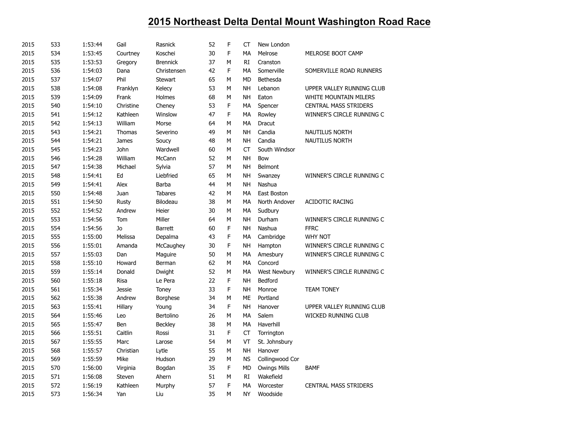| 2015 | 533 | 1:53:44 | Gail          | Rasnick         | 52 | F | CT        | New London          |                              |
|------|-----|---------|---------------|-----------------|----|---|-----------|---------------------|------------------------------|
| 2015 | 534 | 1:53:45 | Courtney      | Koschei         | 30 | F | МA        | Melrose             | MELROSE BOOT CAMP            |
| 2015 | 535 | 1:53:53 | Gregory       | <b>Brennick</b> | 37 | М | <b>RI</b> | Cranston            |                              |
| 2015 | 536 | 1:54:03 | Dana          | Christensen     | 42 | F | MA        | Somerville          | SOMERVILLE ROAD RUNNERS      |
| 2015 | 537 | 1:54:07 | Phil          | <b>Stewart</b>  | 65 | M | <b>MD</b> | Bethesda            |                              |
| 2015 | 538 | 1:54:08 | Franklyn      | Kelecy          | 53 | М | <b>NH</b> | Lebanon             | UPPER VALLEY RUNNING CLUB    |
| 2015 | 539 | 1:54:09 | Frank         | Holmes          | 68 | M | <b>NH</b> | Eaton               | <b>WHITE MOUNTAIN MILERS</b> |
| 2015 | 540 | 1:54:10 | Christine     | Cheney          | 53 | F | MA        | Spencer             | <b>CENTRAL MASS STRIDERS</b> |
| 2015 | 541 | 1:54:12 | Kathleen      | Winslow         | 47 | F | MA        | Rowley              | WINNER'S CIRCLE RUNNING C    |
| 2015 | 542 | 1:54:13 | William       | Morse           | 64 | M | MA        | Dracut              |                              |
| 2015 | 543 | 1:54:21 | Thomas        | Severino        | 49 | M | <b>NH</b> | Candia              | <b>NAUTILUS NORTH</b>        |
| 2015 | 544 | 1:54:21 | James         | Soucy           | 48 | М | <b>NH</b> | Candia              | <b>NAUTILUS NORTH</b>        |
| 2015 | 545 | 1:54:23 | John          | Wardwell        | 60 | M | <b>CT</b> | South Windsor       |                              |
| 2015 | 546 | 1:54:28 | William       | McCann          | 52 | M | <b>NH</b> | Bow                 |                              |
| 2015 | 547 | 1:54:38 | Michael       | Sylvia          | 57 | M | <b>NH</b> | Belmont             |                              |
| 2015 | 548 | 1:54:41 | Ed            | Liebfried       | 65 | M | <b>NH</b> | Swanzey             | WINNER'S CIRCLE RUNNING C    |
| 2015 | 549 | 1:54:41 | Alex          | Barba           | 44 | M | <b>NH</b> | Nashua              |                              |
| 2015 | 550 | 1:54:48 | Juan          | <b>Tabares</b>  | 42 | M | MA        | East Boston         |                              |
| 2015 | 551 | 1:54:50 | Rusty         | Bilodeau        | 38 | M | MA        | North Andover       | <b>ACIDOTIC RACING</b>       |
| 2015 | 552 | 1:54:52 | Andrew        | Heier           | 30 | M | MA        | Sudbury             |                              |
| 2015 | 553 | 1:54:56 | Tom           | Miller          | 64 | M | <b>NH</b> | Durham              | WINNER'S CIRCLE RUNNING C    |
| 2015 | 554 | 1:54:56 | Jo            | <b>Barrett</b>  | 60 | F | NΗ        | Nashua              | <b>FFRC</b>                  |
| 2015 | 555 | 1:55:00 | Melissa       | Depalma         | 43 | F | MA        | Cambridge           | <b>WHY NOT</b>               |
| 2015 | 556 | 1:55:01 | Amanda        | McCaughey       | 30 | F | <b>NH</b> | Hampton             | WINNER'S CIRCLE RUNNING C    |
| 2015 | 557 | 1:55:03 | Dan           | Maguire         | 50 | M | MA        | Amesbury            | WINNER'S CIRCLE RUNNING C    |
| 2015 | 558 | 1:55:10 | Howard        | Berman          | 62 | M | MA        | Concord             |                              |
| 2015 | 559 | 1:55:14 | Donald        | Dwight          | 52 | M | MA        | <b>West Newbury</b> | WINNER'S CIRCLE RUNNING C    |
| 2015 | 560 | 1:55:18 | Risa          | Le Pera         | 22 | F | <b>NH</b> | Bedford             |                              |
| 2015 | 561 | 1:55:34 | <b>Jessie</b> | Toney           | 33 | F | <b>NH</b> | Monroe              | <b>TEAM TONEY</b>            |
| 2015 | 562 | 1:55:38 | Andrew        | <b>Borghese</b> | 34 | M | ME        | Portland            |                              |
| 2015 | 563 | 1:55:41 | Hillary       | Young           | 34 | F | <b>NH</b> | Hanover             | UPPER VALLEY RUNNING CLUB    |
| 2015 | 564 | 1:55:46 | Leo           | Bertolino       | 26 | M | MA        | Salem               | WICKED RUNNING CLUB          |
| 2015 | 565 | 1:55:47 | Ben           | Beckley         | 38 | М | MA        | Haverhill           |                              |
| 2015 | 566 | 1:55:51 | Caitlin       | Rossi           | 31 | F | CT        | Torrington          |                              |
| 2015 | 567 | 1:55:55 | Marc          | Larose          | 54 | M | VT        | St. Johnsbury       |                              |
| 2015 | 568 | 1:55:57 | Christian     | Lytle           | 55 | M | <b>NH</b> | Hanover             |                              |
| 2015 | 569 | 1:55:59 | Mike          | Hudson          | 29 | M | <b>NS</b> | Collingwood Cor     |                              |
| 2015 | 570 | 1:56:00 | Virginia      | Bogdan          | 35 | F | <b>MD</b> | <b>Owings Mills</b> | <b>BAMF</b>                  |
| 2015 | 571 | 1:56:08 | Steven        | Ahern           | 51 | М | RI        | Wakefield           |                              |
| 2015 | 572 | 1:56:19 | Kathleen      | Murphy          | 57 | F | MA        | Worcester           | <b>CENTRAL MASS STRIDERS</b> |
| 2015 | 573 | 1:56:34 | Yan           | Liu             | 35 | M | <b>NY</b> | Woodside            |                              |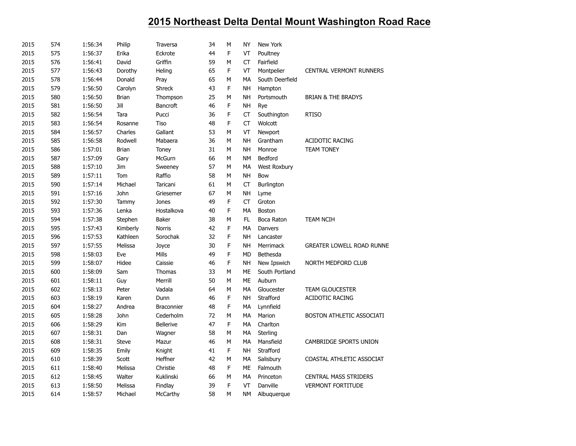| 2015 | 574 | 1:56:34 | Philip       | Traversa          | 34 | M           | NY        | New York            |                                  |
|------|-----|---------|--------------|-------------------|----|-------------|-----------|---------------------|----------------------------------|
| 2015 | 575 | 1:56:37 | Erika        | Eckrote           | 44 | $\mathsf F$ | VT        | Poultney            |                                  |
| 2015 | 576 | 1:56:41 | David        | Griffin           | 59 | M           | <b>CT</b> | Fairfield           |                                  |
| 2015 | 577 | 1:56:43 | Dorothy      | Heling            | 65 | F           | VT        | Montpelier          | <b>CENTRAL VERMONT RUNNERS</b>   |
| 2015 | 578 | 1:56:44 | Donald       | Pray              | 65 | M           | MA        | South Deerfield     |                                  |
| 2015 | 579 | 1:56:50 | Carolyn      | <b>Shreck</b>     | 43 | F           | NΗ        | Hampton             |                                  |
| 2015 | 580 | 1:56:50 | <b>Brian</b> | Thompson          | 25 | M           | <b>NH</b> | Portsmouth          | <b>BRIAN &amp; THE BRADYS</b>    |
| 2015 | 581 | 1:56:50 | Jill         | <b>Bancroft</b>   | 46 | F           | NH        | Rye                 |                                  |
| 2015 | 582 | 1:56:54 | Tara         | Pucci             | 36 | F           | <b>CT</b> | Southington         | <b>RTISO</b>                     |
| 2015 | 583 | 1:56:54 | Rosanne      | Tiso              | 48 | F           | <b>CT</b> | Wolcott             |                                  |
| 2015 | 584 | 1:56:57 | Charles      | Gallant           | 53 | M           | VT        | Newport             |                                  |
| 2015 | 585 | 1:56:58 | Rodwell      | Mabaera           | 36 | M           | <b>NH</b> | Grantham            | <b>ACIDOTIC RACING</b>           |
| 2015 | 586 | 1:57:01 | <b>Brian</b> | Toney             | 31 | M           | <b>NH</b> | Monroe              | <b>TEAM TONEY</b>                |
| 2015 | 587 | 1:57:09 | Gary         | McGurn            | 66 | M           | <b>NM</b> | Bedford             |                                  |
| 2015 | 588 | 1:57:10 | Jim          | Sweeney           | 57 | М           | MA        | <b>West Roxbury</b> |                                  |
| 2015 | 589 | 1:57:11 | Tom          | Raffio            | 58 | М           | <b>NH</b> | Bow                 |                                  |
| 2015 | 590 | 1:57:14 | Michael      | Taricani          | 61 | М           | CT        | Burlington          |                                  |
| 2015 | 591 | 1:57:16 | John         | Griesemer         | 67 | M           | NΗ        | Lyme                |                                  |
| 2015 | 592 | 1:57:30 | Tammy        | Jones             | 49 | $\mathsf F$ | CT        | Groton              |                                  |
| 2015 | 593 | 1:57:36 | Lenka        | Hostalkova        | 40 | F           | МA        | Boston              |                                  |
| 2015 | 594 | 1:57:38 | Stephen      | <b>Baker</b>      | 38 | М           | FL.       | Boca Raton          | <b>TEAM NCIH</b>                 |
| 2015 | 595 | 1:57:43 | Kimberly     | Norris            | 42 | F           | MA        | Danvers             |                                  |
| 2015 | 596 | 1:57:53 | Kathleen     | Sorochak          | 32 | F           | NΗ        | Lancaster           |                                  |
| 2015 | 597 | 1:57:55 | Melissa      | Joyce             | 30 | F           | NΗ        | Merrimack           | <b>GREATER LOWELL ROAD RUNNE</b> |
| 2015 | 598 | 1:58:03 | Eve          | Mills             | 49 | F           | <b>MD</b> | Bethesda            |                                  |
| 2015 | 599 | 1:58:07 | Hidee        | Caissie           | 46 | $\mathsf F$ | NΗ        | New Ipswich         | NORTH MEDFORD CLUB               |
| 2015 | 600 | 1:58:09 | Sam          | Thomas            | 33 | M           | <b>ME</b> | South Portland      |                                  |
| 2015 | 601 | 1:58:11 | Guy          | Merrill           | 50 | М           | ME        | Auburn              |                                  |
| 2015 | 602 | 1:58:13 | Peter        | Vadala            | 64 | M           | MA        | Gloucester          | <b>TEAM GLOUCESTER</b>           |
| 2015 | 603 | 1:58:19 | Karen        | Dunn              | 46 | $\mathsf F$ | <b>NH</b> | Strafford           | <b>ACIDOTIC RACING</b>           |
| 2015 | 604 | 1:58:27 | Andrea       | <b>Braconnier</b> | 48 | F           | MA        | Lynnfield           |                                  |
| 2015 | 605 | 1:58:28 | John         | Cederholm         | 72 | М           | МA        | Marion              | BOSTON ATHLETIC ASSOCIATI        |
| 2015 | 606 | 1:58:29 | Kim          | <b>Bellerive</b>  | 47 | F           | MA        | Charlton            |                                  |
| 2015 | 607 | 1:58:31 | Dan          | Wagner            | 58 | М           | МA        | Sterling            |                                  |
| 2015 | 608 | 1:58:31 | <b>Steve</b> | Mazur             | 46 | M           | MA        | Mansfield           | CAMBRIDGE SPORTS UNION           |
| 2015 | 609 | 1:58:35 | Emily        | Knight            | 41 | F           | NΗ        | Strafford           |                                  |
| 2015 | 610 | 1:58:39 | Scott        | Heffner           | 42 | M           | МA        | Salisbury           | COASTAL ATHLETIC ASSOCIAT        |
| 2015 | 611 | 1:58:40 | Melissa      | Christie          | 48 | F           | ME        | Falmouth            |                                  |
| 2015 | 612 | 1:58:45 | Walter       | Kuklinski         | 66 | М           | МA        | Princeton           | <b>CENTRAL MASS STRIDERS</b>     |
| 2015 | 613 | 1:58:50 | Melissa      | Findlay           | 39 | F           | VT        | Danville            | <b>VERMONT FORTITUDE</b>         |
| 2015 | 614 | 1:58:57 | Michael      | McCarthy          | 58 | M           | NΜ        | Albuquerque         |                                  |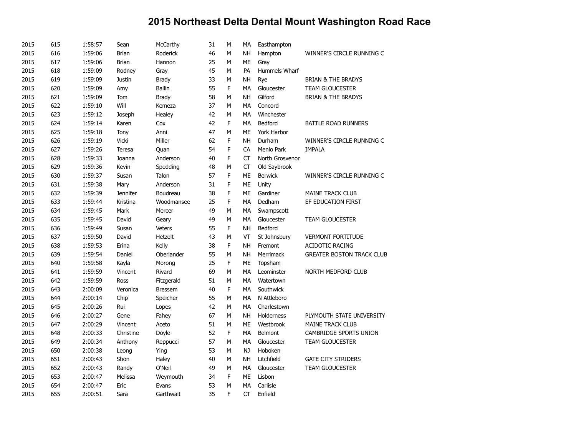| 2015 | 615 | 1:58:57 | Sean          | McCarthy       | 31 | M | МA        | Easthampton     |                                  |
|------|-----|---------|---------------|----------------|----|---|-----------|-----------------|----------------------------------|
| 2015 | 616 | 1:59:06 | <b>Brian</b>  | Roderick       | 46 | M | <b>NH</b> | Hampton         | WINNER'S CIRCLE RUNNING C        |
| 2015 | 617 | 1:59:06 | <b>Brian</b>  | Hannon         | 25 | М | ME        | Gray            |                                  |
| 2015 | 618 | 1:59:09 | Rodney        | Gray           | 45 | M | PA        | Hummels Wharf   |                                  |
| 2015 | 619 | 1:59:09 | <b>Justin</b> | <b>Brady</b>   | 33 | М | <b>NH</b> | Rye             | <b>BRIAN &amp; THE BRADYS</b>    |
| 2015 | 620 | 1:59:09 | Amy           | <b>Ballin</b>  | 55 | F | МA        | Gloucester      | <b>TEAM GLOUCESTER</b>           |
| 2015 | 621 | 1:59:09 | Tom           | <b>Brady</b>   | 58 | M | <b>NH</b> | Gilford         | <b>BRIAN &amp; THE BRADYS</b>    |
| 2015 | 622 | 1:59:10 | Will          | Kemeza         | 37 | M | MA        | Concord         |                                  |
| 2015 | 623 | 1:59:12 | Joseph        | Healey         | 42 | М | MA        | Winchester      |                                  |
| 2015 | 624 | 1:59:14 | Karen         | Cox            | 42 | F | <b>MA</b> | Bedford         | <b>BATTLE ROAD RUNNERS</b>       |
| 2015 | 625 | 1:59:18 | Tony          | Anni           | 47 | M | <b>ME</b> | York Harbor     |                                  |
| 2015 | 626 | 1:59:19 | Vicki         | Miller         | 62 | F | <b>NH</b> | Durham          | WINNER'S CIRCLE RUNNING C        |
| 2015 | 627 | 1:59:26 | Teresa        | Quan           | 54 | F | CA        | Menlo Park      | <b>IMPALA</b>                    |
| 2015 | 628 | 1:59:33 | Joanna        | Anderson       | 40 | F | <b>CT</b> | North Grosvenor |                                  |
| 2015 | 629 | 1:59:36 | Kevin         | Spedding       | 48 | М | <b>CT</b> | Old Saybrook    |                                  |
| 2015 | 630 | 1:59:37 | Susan         | Talon          | 57 | F | ME        | <b>Berwick</b>  | WINNER'S CIRCLE RUNNING C        |
| 2015 | 631 | 1:59:38 | Mary          | Anderson       | 31 | F | ME        | Unity           |                                  |
| 2015 | 632 | 1:59:39 | Jennifer      | Boudreau       | 38 | F | <b>ME</b> | Gardiner        | <b>MAINE TRACK CLUB</b>          |
| 2015 | 633 | 1:59:44 | Kristina      | Woodmansee     | 25 | F | <b>MA</b> | Dedham          | EF EDUCATION FIRST               |
| 2015 | 634 | 1:59:45 | Mark          | Mercer         | 49 | M | MA        | Swampscott      |                                  |
| 2015 | 635 | 1:59:45 | David         | Geary          | 49 | M | <b>MA</b> | Gloucester      | <b>TEAM GLOUCESTER</b>           |
| 2015 | 636 | 1:59:49 | Susan         | <b>Veters</b>  | 55 | F | NΗ        | Bedford         |                                  |
| 2015 | 637 | 1:59:50 | David         | Hetzelt        | 43 | M | VT        | St Johnsbury    | <b>VERMONT FORTITUDE</b>         |
| 2015 | 638 | 1:59:53 | Erina         | Kelly          | 38 | F | <b>NH</b> | Fremont         | ACIDOTIC RACING                  |
| 2015 | 639 | 1:59:54 | Daniel        | Oberlander     | 55 | M | NΗ        | Merrimack       | <b>GREATER BOSTON TRACK CLUB</b> |
| 2015 | 640 | 1:59:58 | Kayla         | Morong         | 25 | F | ME        | Topsham         |                                  |
| 2015 | 641 | 1:59:59 | Vincent       | Rivard         | 69 | M | MA        | Leominster      | NORTH MEDFORD CLUB               |
| 2015 | 642 | 1:59:59 | Ross          | Fitzgerald     | 51 | M | MA        | Watertown       |                                  |
| 2015 | 643 | 2:00:09 | Veronica      | <b>Bressem</b> | 40 | F | MA        | Southwick       |                                  |
| 2015 | 644 | 2:00:14 | Chip          | Speicher       | 55 | M | MA        | N Attleboro     |                                  |
| 2015 | 645 | 2:00:26 | Rui           | Lopes          | 42 | M | MA        | Charlestown     |                                  |
| 2015 | 646 | 2:00:27 | Gene          | Fahey          | 67 | M | <b>NH</b> | Holderness      | PLYMOUTH STATE UNIVERSITY        |
| 2015 | 647 | 2:00:29 | Vincent       | Aceto          | 51 | М | ME        | Westbrook       | <b>MAINE TRACK CLUB</b>          |
| 2015 | 648 | 2:00:33 | Christine     | Doyle          | 52 | F | MA        | Belmont         | CAMBRIDGE SPORTS UNION           |
| 2015 | 649 | 2:00:34 | Anthony       | Reppucci       | 57 | M | MA        | Gloucester      | TEAM GLOUCESTER                  |
| 2015 | 650 | 2:00:38 | Leong         | Ying           | 53 | M | NJ        | Hoboken         |                                  |
| 2015 | 651 | 2:00:43 | Shon          | Haley          | 40 | M | <b>NH</b> | Litchfield      | <b>GATE CITY STRIDERS</b>        |
| 2015 | 652 | 2:00:43 | Randy         | O'Neil         | 49 | M | MA        | Gloucester      | <b>TEAM GLOUCESTER</b>           |
| 2015 | 653 | 2:00:47 | Melissa       | Weymouth       | 34 | F | ME        | Lisbon          |                                  |
| 2015 | 654 | 2:00:47 | Eric          | Evans          | 53 | M | MA        | Carlisle        |                                  |
| 2015 | 655 | 2:00:51 | Sara          | Garthwait      | 35 | F | <b>CT</b> | Enfield         |                                  |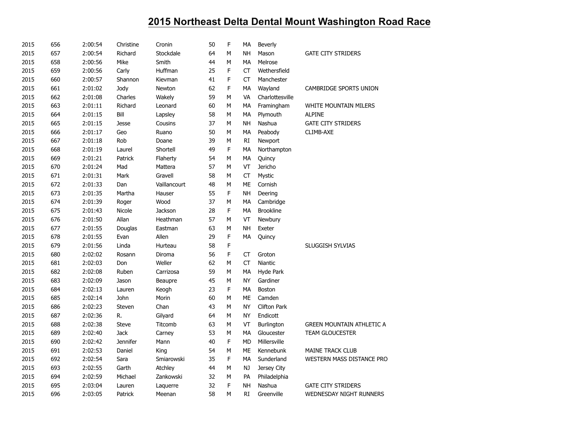| 2015 | 656 | 2:00:54 | Christine       | Cronin       | 50 | F | MA        | Beverly             |                                  |
|------|-----|---------|-----------------|--------------|----|---|-----------|---------------------|----------------------------------|
| 2015 | 657 | 2:00:54 | Richard         | Stockdale    | 64 | M | <b>NH</b> | Mason               | <b>GATE CITY STRIDERS</b>        |
| 2015 | 658 | 2:00:56 | Mike            | Smith        | 44 | M | MA        | Melrose             |                                  |
| 2015 | 659 | 2:00:56 | Carly           | Huffman      | 25 | F | <b>CT</b> | Wethersfield        |                                  |
| 2015 | 660 | 2:00:57 | Shannon         | Kievman      | 41 | F | <b>CT</b> | Manchester          |                                  |
| 2015 | 661 | 2:01:02 | Jody            | Newton       | 62 | F | MA        | Wayland             | CAMBRIDGE SPORTS UNION           |
| 2015 | 662 | 2:01:08 | Charles         | Wakely       | 59 | М | VA        | Charlottesville     |                                  |
| 2015 | 663 | 2:01:11 | Richard         | Leonard      | 60 | M | MA        | Framingham          | WHITE MOUNTAIN MILERS            |
| 2015 | 664 | 2:01:15 | Bill            | Lapsley      | 58 | M | МA        | Plymouth            | <b>ALPINE</b>                    |
| 2015 | 665 | 2:01:15 | <b>Jesse</b>    | Cousins      | 37 | M | <b>NH</b> | Nashua              | <b>GATE CITY STRIDERS</b>        |
| 2015 | 666 | 2:01:17 | Geo             | Ruano        | 50 | M | MA        | Peabody             | CLIMB-AXE                        |
| 2015 | 667 | 2:01:18 | Rob             | Doane        | 39 | M | RI        | Newport             |                                  |
| 2015 | 668 | 2:01:19 | Laurel          | Shortell     | 49 | F | <b>MA</b> | Northampton         |                                  |
| 2015 | 669 | 2:01:21 | Patrick         | Flaherty     | 54 | М | МA        | Quincy              |                                  |
| 2015 | 670 | 2:01:24 | Mad             | Mattera      | 57 | M | VT        | Jericho             |                                  |
| 2015 | 671 | 2:01:31 | Mark            | Gravell      | 58 | M | <b>CT</b> | Mystic              |                                  |
| 2015 | 672 | 2:01:33 | Dan             | Vaillancourt | 48 | M | ME        | Cornish             |                                  |
| 2015 | 673 | 2:01:35 | Martha          | Hauser       | 55 | F | <b>NH</b> | Deering             |                                  |
| 2015 | 674 | 2:01:39 | Roger           | Wood         | 37 | M | MA        | Cambridge           |                                  |
| 2015 | 675 | 2:01:43 | Nicole          | Jackson      | 28 | F | MA        | <b>Brookline</b>    |                                  |
| 2015 | 676 | 2:01:50 | Allan           | Heathman     | 57 | M | VT        | Newbury             |                                  |
| 2015 | 677 | 2:01:55 | Douglas         | Eastman      | 63 | M | <b>NH</b> | Exeter              |                                  |
| 2015 | 678 | 2:01:55 | Evan            | Allen        | 29 | F | MA        | Quincy              |                                  |
| 2015 | 679 | 2:01:56 | Linda           | Hurteau      | 58 | F |           |                     | SLUGGISH SYLVIAS                 |
| 2015 | 680 | 2:02:02 | Rosann          | Diroma       | 56 | F | СT        | Groton              |                                  |
| 2015 | 681 | 2:02:03 | Don             | Weller       | 62 | M | СT        | Niantic             |                                  |
| 2015 | 682 | 2:02:08 | Ruben           | Carrizosa    | 59 | M | MA        | Hyde Park           |                                  |
| 2015 | 683 | 2:02:09 | Jason           | Beaupre      | 45 | M | <b>NY</b> | Gardiner            |                                  |
| 2015 | 684 | 2:02:13 | Lauren          | Keogh        | 23 | F | MA        | Boston              |                                  |
| 2015 | 685 | 2:02:14 | John            | Morin        | 60 | M | <b>ME</b> | Camden              |                                  |
| 2015 | 686 | 2:02:23 | Steven          | Chan         | 43 | M | <b>NY</b> | <b>Clifton Park</b> |                                  |
| 2015 | 687 | 2:02:36 | R.              | Gilyard      | 64 | M | <b>NY</b> | Endicott            |                                  |
| 2015 | 688 | 2:02:38 | <b>Steve</b>    | Titcomb      | 63 | M | VT        | <b>Burlington</b>   | <b>GREEN MOUNTAIN ATHLETIC A</b> |
| 2015 | 689 | 2:02:40 | <b>Jack</b>     | Carney       | 53 | M | MA        | Gloucester          | <b>TEAM GLOUCESTER</b>           |
| 2015 | 690 | 2:02:42 | <b>Jennifer</b> | Mann         | 40 | F | <b>MD</b> | Millersville        |                                  |
| 2015 | 691 | 2:02:53 | Daniel          | King         | 54 | М | <b>ME</b> | Kennebunk           | <b>MAINE TRACK CLUB</b>          |
| 2015 | 692 | 2:02:54 | Sara            | Smiarowski   | 35 | F | МA        | Sunderland          | WESTERN MASS DISTANCE PRO        |
| 2015 | 693 | 2:02:55 | Garth           | Atchley      | 44 | М | NJ        | Jersey City         |                                  |
| 2015 | 694 | 2:02:59 | Michael         | Zankowski    | 32 | M | PA        | Philadelphia        |                                  |
| 2015 | 695 | 2:03:04 | Lauren          | Laquerre     | 32 | F | <b>NH</b> | Nashua              | <b>GATE CITY STRIDERS</b>        |
| 2015 | 696 | 2:03:05 | Patrick         | Meenan       | 58 | м | RI        | Greenville          | WEDNESDAY NIGHT RUNNERS          |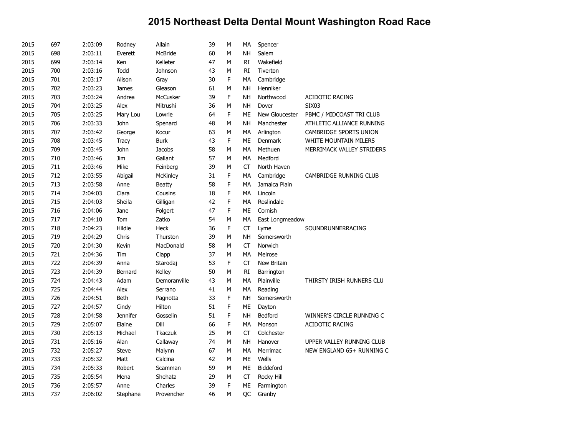| 2015 | 697 | 2:03:09 | Rodney          | Allain          | 39 | M | МA        | Spencer          |                           |
|------|-----|---------|-----------------|-----------------|----|---|-----------|------------------|---------------------------|
| 2015 | 698 | 2:03:11 | Everett         | McBride         | 60 | М | <b>NH</b> | Salem            |                           |
| 2015 | 699 | 2:03:14 | Ken             | Kelleter        | 47 | М | <b>RI</b> | Wakefield        |                           |
| 2015 | 700 | 2:03:16 | Todd            | Johnson         | 43 | M | RI        | Tiverton         |                           |
| 2015 | 701 | 2:03:17 | Alison          | Gray            | 30 | F | MA        | Cambridge        |                           |
| 2015 | 702 | 2:03:23 | <b>James</b>    | Gleason         | 61 | M | <b>NH</b> | Henniker         |                           |
| 2015 | 703 | 2:03:24 | Andrea          | McCusker        | 39 | F | <b>NH</b> | Northwood        | <b>ACIDOTIC RACING</b>    |
| 2015 | 704 | 2:03:25 | Alex            | Mitrushi        | 36 | М | <b>NH</b> | Dover            | <b>SIX03</b>              |
| 2015 | 705 | 2:03:25 | Mary Lou        | Lowrie          | 64 | F | ME        | New Gloucester   | PBMC / MIDCOAST TRI CLUB  |
| 2015 | 706 | 2:03:33 | John            | Spenard         | 48 | М | <b>NH</b> | Manchester       | ATHLETIC ALLIANCE RUNNING |
| 2015 | 707 | 2:03:42 | George          | Kocur           | 63 | М | МA        | Arlington        | CAMBRIDGE SPORTS UNION    |
| 2015 | 708 | 2:03:45 | <b>Tracy</b>    | <b>Burk</b>     | 43 | F | ME        | Denmark          | WHITE MOUNTAIN MILERS     |
| 2015 | 709 | 2:03:45 | John            | <b>Jacobs</b>   | 58 | M | MA        | Methuen          | MERRIMACK VALLEY STRIDERS |
| 2015 | 710 | 2:03:46 | Jim             | Gallant         | 57 | M | MA        | Medford          |                           |
| 2015 | 711 | 2:03:46 | Mike            | Feinberg        | 39 | М | CT        | North Haven      |                           |
| 2015 | 712 | 2:03:55 | Abigail         | <b>McKinley</b> | 31 | F | MA        | Cambridge        | CAMBRIDGE RUNNING CLUB    |
| 2015 | 713 | 2:03:58 | Anne            | <b>Beatty</b>   | 58 | F | MA        | Jamaica Plain    |                           |
| 2015 | 714 | 2:04:03 | Clara           | Cousins         | 18 | F | MA        | Lincoln          |                           |
| 2015 | 715 | 2:04:03 | Sheila          | Gilligan        | 42 | F | MA        | Roslindale       |                           |
| 2015 | 716 | 2:04:06 | Jane            | Folgert         | 47 | F | ME        | Cornish          |                           |
| 2015 | 717 | 2:04:10 | Tom             | Zatko           | 54 | М | MA        | East Longmeadow  |                           |
| 2015 | 718 | 2:04:23 | Hildie          | Heck            | 36 | F | <b>CT</b> | Lyme             | SOUNDRUNNERRACING         |
| 2015 | 719 | 2:04:29 | Chris           | Thurston        | 39 | M | <b>NH</b> | Somersworth      |                           |
| 2015 | 720 | 2:04:30 | Kevin           | MacDonald       | 58 | M | CT        | Norwich          |                           |
| 2015 | 721 | 2:04:36 | Tim             | Clapp           | 37 | M | MA        | Melrose          |                           |
| 2015 | 722 | 2:04:39 | Anna            | Starodaj        | 53 | F | CT        | New Britain      |                           |
| 2015 | 723 | 2:04:39 | Bernard         | Kelley          | 50 | М | RI        | Barrington       |                           |
| 2015 | 724 | 2:04:43 | Adam            | Demoranville    | 43 | M | MA        | Plainville       | THIRSTY IRISH RUNNERS CLU |
| 2015 | 725 | 2:04:44 | Alex            | Serrano         | 41 | M | MA        | Reading          |                           |
| 2015 | 726 | 2:04:51 | <b>Beth</b>     | Pagnotta        | 33 | F | <b>NH</b> | Somersworth      |                           |
| 2015 | 727 | 2:04:57 | Cindy           | Hilton          | 51 | F | ME        | Dayton           |                           |
| 2015 | 728 | 2:04:58 | <b>Jennifer</b> | Gosselin        | 51 | F | <b>NH</b> | Bedford          | WINNER'S CIRCLE RUNNING C |
| 2015 | 729 | 2:05:07 | Elaine          | Dill            | 66 | F | MA        | Monson           | <b>ACIDOTIC RACING</b>    |
| 2015 | 730 | 2:05:13 | Michael         | <b>Tkaczuk</b>  | 25 | М | CT        | Colchester       |                           |
| 2015 | 731 | 2:05:16 | Alan            | Callaway        | 74 | М | <b>NH</b> | Hanover          | UPPER VALLEY RUNNING CLUB |
| 2015 | 732 | 2:05:27 | <b>Steve</b>    | Malynn          | 67 | M | MA        | Merrimac         | NEW ENGLAND 65+ RUNNING C |
| 2015 | 733 | 2:05:32 | Matt            | Calcina         | 42 | M | ME        | Wells            |                           |
| 2015 | 734 | 2:05:33 | Robert          | Scamman         | 59 | М | ME        | <b>Biddeford</b> |                           |
| 2015 | 735 | 2:05:54 | Mena            | Shehata         | 29 | М | CT        | Rocky Hill       |                           |
| 2015 | 736 | 2:05:57 | Anne            | Charles         | 39 | F | ME        | Farmington       |                           |
| 2015 | 737 | 2:06:02 | Stephane        | Provencher      | 46 | M | QC        | Granby           |                           |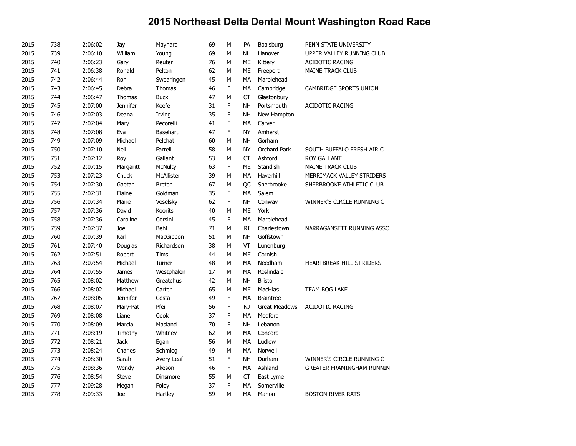| 2015 | 738 | 2:06:02 | Jay             | Maynard         | 69 | М | PA        | Boalsburg            | PENN STATE UNIVERSITY            |
|------|-----|---------|-----------------|-----------------|----|---|-----------|----------------------|----------------------------------|
| 2015 | 739 | 2:06:10 | William         | Young           | 69 | М | NΗ        | Hanover              | UPPER VALLEY RUNNING CLUB        |
| 2015 | 740 | 2:06:23 | Gary            | Reuter          | 76 | M | ME        | Kittery              | <b>ACIDOTIC RACING</b>           |
| 2015 | 741 | 2:06:38 | Ronald          | Pelton          | 62 | М | ME        | Freeport             | <b>MAINE TRACK CLUB</b>          |
| 2015 | 742 | 2:06:44 | Ron             | Swearingen      | 45 | М | MA        | Marblehead           |                                  |
| 2015 | 743 | 2:06:45 | Debra           | Thomas          | 46 | F | MA        | Cambridge            | CAMBRIDGE SPORTS UNION           |
| 2015 | 744 | 2:06:47 | Thomas          | <b>Buck</b>     | 47 | M | CT        | Glastonbury          |                                  |
| 2015 | 745 | 2:07:00 | <b>Jennifer</b> | Keefe           | 31 | F | NΗ        | Portsmouth           | <b>ACIDOTIC RACING</b>           |
| 2015 | 746 | 2:07:03 | Deana           | Irving          | 35 | F | <b>NH</b> | New Hampton          |                                  |
| 2015 | 747 | 2:07:04 | Mary            | Pecorelli       | 41 | F | MA        | Carver               |                                  |
| 2015 | 748 | 2:07:08 | Eva             | Basehart        | 47 | F | <b>NY</b> | Amherst              |                                  |
| 2015 | 749 | 2:07:09 | Michael         | Pelchat         | 60 | M | NΗ        | Gorham               |                                  |
| 2015 | 750 | 2:07:10 | Neil            | Farrell         | 58 | M | NY        | Orchard Park         | SOUTH BUFFALO FRESH AIR C        |
| 2015 | 751 | 2:07:12 | Roy             | Gallant         | 53 | М | CT        | Ashford              | <b>ROY GALLANT</b>               |
| 2015 | 752 | 2:07:15 | Margaritt       | <b>McNulty</b>  | 63 | F | ME        | Standish             | <b>MAINE TRACK CLUB</b>          |
| 2015 | 753 | 2:07:23 | Chuck           | McAllister      | 39 | M | МA        | Haverhill            | MERRIMACK VALLEY STRIDERS        |
| 2015 | 754 | 2:07:30 | Gaetan          | <b>Breton</b>   | 67 | М | QC        | Sherbrooke           | SHERBROOKE ATHLETIC CLUB         |
| 2015 | 755 | 2:07:31 | Elaine          | Goldman         | 35 | F | MA        | Salem                |                                  |
| 2015 | 756 | 2:07:34 | Marie           | Veselsky        | 62 | F | <b>NH</b> | Conway               | WINNER'S CIRCLE RUNNING C        |
| 2015 | 757 | 2:07:36 | David           | Koorits         | 40 | М | ME        | York                 |                                  |
| 2015 | 758 | 2:07:36 | Caroline        | Corsini         | 45 | F | <b>MA</b> | Marblehead           |                                  |
| 2015 | 759 | 2:07:37 | Joe             | Behl            | 71 | М | RI        | Charlestown          | NARRAGANSETT RUNNING ASSO        |
| 2015 | 760 | 2:07:39 | Karl            | MacGibbon       | 51 | М | NΗ        | Goffstown            |                                  |
| 2015 | 761 | 2:07:40 | Douglas         | Richardson      | 38 | М | VT        | Lunenburg            |                                  |
| 2015 | 762 | 2:07:51 | Robert          | <b>Tims</b>     | 44 | M | <b>ME</b> | Cornish              |                                  |
| 2015 | 763 | 2:07:54 | Michael         | Turner          | 48 | М | MA        | Needham              | HEARTBREAK HILL STRIDERS         |
| 2015 | 764 | 2:07:55 | James           | Westphalen      | 17 | M | MA        | Roslindale           |                                  |
| 2015 | 765 | 2:08:02 | Matthew         | Greatchus       | 42 | M | NΗ        | <b>Bristol</b>       |                                  |
| 2015 | 766 | 2:08:02 | Michael         | Carter          | 65 | M | ME        | MacHias              | TEAM BOG LAKE                    |
| 2015 | 767 | 2:08:05 | <b>Jennifer</b> | Costa           | 49 | F | MA        | <b>Braintree</b>     |                                  |
| 2015 | 768 | 2:08:07 | Mary-Pat        | Pfeil           | 56 | F | NJ        | <b>Great Meadows</b> | <b>ACIDOTIC RACING</b>           |
| 2015 | 769 | 2:08:08 | Liane           | Cook            | 37 | F | MA        | Medford              |                                  |
| 2015 | 770 | 2:08:09 | Marcia          | Masland         | 70 | F | <b>NH</b> | Lebanon              |                                  |
| 2015 | 771 | 2:08:19 | Timothy         | Whitney         | 62 | М | МA        | Concord              |                                  |
| 2015 | 772 | 2:08:21 | <b>Jack</b>     | Egan            | 56 | M | MA        | Ludlow               |                                  |
| 2015 | 773 | 2:08:24 | Charles         | Schmieg         | 49 | М | МA        | Norwell              |                                  |
| 2015 | 774 | 2:08:30 | Sarah           | Avery-Leaf      | 51 | F | NΗ        | Durham               | WINNER'S CIRCLE RUNNING C        |
| 2015 | 775 | 2:08:36 | Wendy           | Akeson          | 46 | F | MA        | Ashland              | <b>GREATER FRAMINGHAM RUNNIN</b> |
| 2015 | 776 | 2:08:54 | <b>Steve</b>    | <b>Dinsmore</b> | 55 | М | СT        | East Lyme            |                                  |
| 2015 | 777 | 2:09:28 | Megan           | Foley           | 37 | F | MA        | Somerville           |                                  |
| 2015 | 778 | 2:09:33 | Joel            | Hartley         | 59 | M | <b>MA</b> | Marion               | <b>BOSTON RIVER RATS</b>         |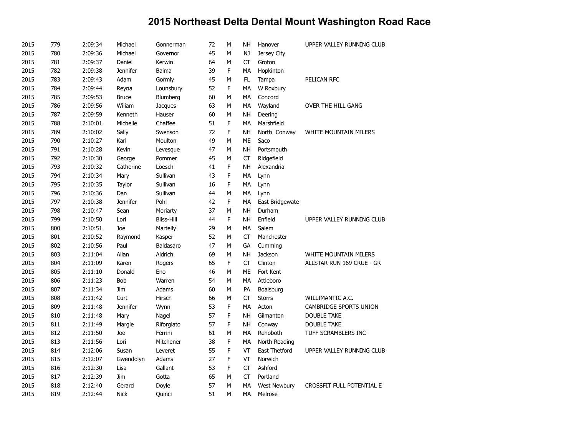| 2015 | 779 | 2:09:34 | Michael         | Gonnerman         | 72 | М | NΗ        | Hanover             | UPPER VALLEY RUNNING CLUB        |
|------|-----|---------|-----------------|-------------------|----|---|-----------|---------------------|----------------------------------|
| 2015 | 780 | 2:09:36 | Michael         | Governor          | 45 | M | NJ        | Jersey City         |                                  |
| 2015 | 781 | 2:09:37 | Daniel          | Kerwin            | 64 | М | <b>CT</b> | Groton              |                                  |
| 2015 | 782 | 2:09:38 | <b>Jennifer</b> | Baima             | 39 | F | МA        | Hopkinton           |                                  |
| 2015 | 783 | 2:09:43 | Adam            | Gormly            | 45 | М | FL        | Tampa               | PELICAN RFC                      |
| 2015 | 784 | 2:09:44 | Reyna           | Lounsbury         | 52 | F | MA        | W Roxbury           |                                  |
| 2015 | 785 | 2:09:53 | <b>Bruce</b>    | Blumberg          | 60 | М | МA        | Concord             |                                  |
| 2015 | 786 | 2:09:56 | Wiliam          | Jacques           | 63 | М | MA        | Wayland             | OVER THE HILL GANG               |
| 2015 | 787 | 2:09:59 | Kenneth         | Hauser            | 60 | М | NΗ        | Deering             |                                  |
| 2015 | 788 | 2:10:01 | Michelle        | Chaffee           | 51 | F | MA        | Marshfield          |                                  |
| 2015 | 789 | 2:10:02 | Sally           | Swenson           | 72 | F | NH        | North Conway        | WHITE MOUNTAIN MILERS            |
| 2015 | 790 | 2:10:27 | Karl            | Moulton           | 49 | М | ME        | Saco                |                                  |
| 2015 | 791 | 2:10:28 | Kevin           | Levesque          | 47 | M | <b>NH</b> | Portsmouth          |                                  |
| 2015 | 792 | 2:10:30 | George          | Pommer            | 45 | М | CT        | Ridgefield          |                                  |
| 2015 | 793 | 2:10:32 | Catherine       | Loesch            | 41 | F | <b>NH</b> | Alexandria          |                                  |
| 2015 | 794 | 2:10:34 | Mary            | Sullivan          | 43 | F | MA        | Lynn                |                                  |
| 2015 | 795 | 2:10:35 | Taylor          | Sullivan          | 16 | F | MA        | Lynn                |                                  |
| 2015 | 796 | 2:10:36 | Dan             | Sullivan          | 44 | М | МA        | Lynn                |                                  |
| 2015 | 797 | 2:10:38 | <b>Jennifer</b> | Pohl              | 42 | F | MA        | East Bridgewate     |                                  |
| 2015 | 798 | 2:10:47 | Sean            | Moriarty          | 37 | M | NΗ        | Durham              |                                  |
| 2015 | 799 | 2:10:50 | Lori            | <b>Bliss-Hill</b> | 44 | F | <b>NH</b> | Enfield             | UPPER VALLEY RUNNING CLUB        |
| 2015 | 800 | 2:10:51 | Joe             | Martelly          | 29 | М | МA        | Salem               |                                  |
| 2015 | 801 | 2:10:52 | Raymond         | Kasper            | 52 | М | <b>CT</b> | Manchester          |                                  |
| 2015 | 802 | 2:10:56 | Paul            | Baldasaro         | 47 | M | GA        | Cumming             |                                  |
| 2015 | 803 | 2:11:04 | Allan           | Aldrich           | 69 | М | <b>NH</b> | Jackson             | WHITE MOUNTAIN MILERS            |
| 2015 | 804 | 2:11:09 | Karen           | Rogers            | 65 | F | <b>CT</b> | Clinton             | ALLSTAR RUN 169 CRUE - GR        |
| 2015 | 805 | 2:11:10 | Donald          | Eno               | 46 | М | ME        | Fort Kent           |                                  |
| 2015 | 806 | 2:11:23 | Bob             | Warren            | 54 | M | MA        | Attleboro           |                                  |
| 2015 | 807 | 2:11:34 | Jim             | Adams             | 60 | М | PA        | Boalsburg           |                                  |
| 2015 | 808 | 2:11:42 | Curt            | Hirsch            | 66 | М | CT        | <b>Storrs</b>       | WILLIMANTIC A.C.                 |
| 2015 | 809 | 2:11:48 | <b>Jennifer</b> | Wynn              | 53 | F | MA        | Acton               | CAMBRIDGE SPORTS UNION           |
| 2015 | 810 | 2:11:48 | Mary            | Nagel             | 57 | F | NH        | Gilmanton           | <b>DOUBLE TAKE</b>               |
| 2015 | 811 | 2:11:49 | Margie          | Riforgiato        | 57 | F | <b>NH</b> | Conway              | <b>DOUBLE TAKE</b>               |
| 2015 | 812 | 2:11:50 | Joe             | Ferrini           | 61 | М | MA        | Rehoboth            | TUFF SCRAMBLERS INC              |
| 2015 | 813 | 2:11:56 | Lori            | Mitchener         | 38 | F | MA        | North Reading       |                                  |
| 2015 | 814 | 2:12:06 | Susan           | Leveret           | 55 | F | VT        | East Thetford       | UPPER VALLEY RUNNING CLUB        |
| 2015 | 815 | 2:12:07 | Gwendolyn       | Adams             | 27 | F | VT        | Norwich             |                                  |
| 2015 | 816 | 2:12:30 | Lisa            | Gallant           | 53 | F | <b>CT</b> | Ashford             |                                  |
| 2015 | 817 | 2:12:39 | Jim             | Gotta             | 65 | М | <b>CT</b> | Portland            |                                  |
| 2015 | 818 | 2:12:40 | Gerard          | Doyle             | 57 | М | MA        | <b>West Newbury</b> | <b>CROSSFIT FULL POTENTIAL E</b> |
| 2015 | 819 | 2:12:44 | <b>Nick</b>     | Quinci            | 51 | М | <b>MA</b> | Melrose             |                                  |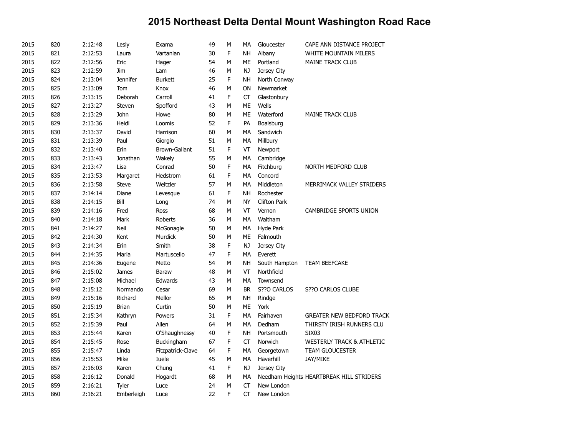| 2015 | 820 | 2:12:48 | Lesly           | Exama             | 49 | М | MA        | Gloucester          | CAPE ANN DISTANCE PROJECT                |
|------|-----|---------|-----------------|-------------------|----|---|-----------|---------------------|------------------------------------------|
| 2015 | 821 | 2:12:53 | Laura           | Vartanian         | 30 | F | <b>NH</b> | Albany              | <b>WHITE MOUNTAIN MILERS</b>             |
| 2015 | 822 | 2:12:56 | Eric            | Hager             | 54 | M | ME        | Portland            | <b>MAINE TRACK CLUB</b>                  |
| 2015 | 823 | 2:12:59 | Jim             | Lam               | 46 | М | NJ        | Jersey City         |                                          |
| 2015 | 824 | 2:13:04 | <b>Jennifer</b> | <b>Burkett</b>    | 25 | F | NΗ        | North Conway        |                                          |
| 2015 | 825 | 2:13:09 | Tom             | Knox              | 46 | M | ON        | Newmarket           |                                          |
| 2015 | 826 | 2:13:15 | Deborah         | Carroll           | 41 | F | <b>CT</b> | Glastonbury         |                                          |
| 2015 | 827 | 2:13:27 | Steven          | Spofford          | 43 | М | ME        | Wells               |                                          |
| 2015 | 828 | 2:13:29 | John            | Howe              | 80 | M | ME        | Waterford           | <b>MAINE TRACK CLUB</b>                  |
| 2015 | 829 | 2:13:36 | Heidi           | Loomis            | 52 | F | PA        | Boalsburg           |                                          |
| 2015 | 830 | 2:13:37 | David           | Harrison          | 60 | М | MA        | Sandwich            |                                          |
| 2015 | 831 | 2:13:39 | Paul            | Giorgio           | 51 | М | МA        | Millbury            |                                          |
| 2015 | 832 | 2:13:40 | Erin            | Brown-Gallant     | 51 | F | VT        | Newport             |                                          |
| 2015 | 833 | 2:13:43 | Jonathan        | Wakely            | 55 | М | МA        | Cambridge           |                                          |
| 2015 | 834 | 2:13:47 | Lisa            | Conrad            | 50 | F | MA        | Fitchburg           | NORTH MEDFORD CLUB                       |
| 2015 | 835 | 2:13:53 | Margaret        | Hedstrom          | 61 | F | МA        | Concord             |                                          |
| 2015 | 836 | 2:13:58 | <b>Steve</b>    | Weitzler          | 57 | М | MA        | Middleton           | MERRIMACK VALLEY STRIDERS                |
| 2015 | 837 | 2:14:14 | Diane           | Levesque          | 61 | F | <b>NH</b> | Rochester           |                                          |
| 2015 | 838 | 2:14:15 | Bill            | Long              | 74 | М | NY        | <b>Clifton Park</b> |                                          |
| 2015 | 839 | 2:14:16 | Fred            | Ross              | 68 | М | VT        | Vernon              | CAMBRIDGE SPORTS UNION                   |
| 2015 | 840 | 2:14:18 | Mark            | Roberts           | 36 | М | MA        | Waltham             |                                          |
| 2015 | 841 | 2:14:27 | Neil            | McGonagle         | 50 | М | МA        | Hyde Park           |                                          |
| 2015 | 842 | 2:14:30 | Kent            | Murdick           | 50 | М | ME        | Falmouth            |                                          |
| 2015 | 843 | 2:14:34 | Erin            | Smith             | 38 | F | <b>NJ</b> | Jersey City         |                                          |
| 2015 | 844 | 2:14:35 | Maria           | Martuscello       | 47 | F | МA        | Everett             |                                          |
| 2015 | 845 | 2:14:36 | Eugene          | Metto             | 54 | М | NН        | South Hampton       | <b>TEAM BEEFCAKE</b>                     |
| 2015 | 846 | 2:15:02 | James           | Baraw             | 48 | М | VT        | Northfield          |                                          |
| 2015 | 847 | 2:15:08 | Michael         | Edwards           | 43 | M | MA        | Townsend            |                                          |
| 2015 | 848 | 2:15:12 | Normando        | Cesar             | 69 | М | BR        | S??O CARLOS         | S??O CARLOS CLUBE                        |
| 2015 | 849 | 2:15:16 | Richard         | Mellor            | 65 | М | NΗ        | Rindge              |                                          |
| 2015 | 850 | 2:15:19 | <b>Brian</b>    | Curtin            | 50 | M | ME        | York                |                                          |
| 2015 | 851 | 2:15:34 | Kathryn         | Powers            | 31 | F | МA        | Fairhaven           | <b>GREATER NEW BEDFORD TRACK</b>         |
| 2015 | 852 | 2:15:39 | Paul            | Allen             | 64 | М | МA        | Dedham              | THIRSTY IRISH RUNNERS CLU                |
| 2015 | 853 | 2:15:44 | Karen           | O'Shaughnessy     | 40 | F | NH        | Portsmouth          | SIX <sub>03</sub>                        |
| 2015 | 854 | 2:15:45 | Rose            | Buckingham        | 67 | F | CT        | Norwich             | <b>WESTERLY TRACK &amp; ATHLETIC</b>     |
| 2015 | 855 | 2:15:47 | Linda           | Fitzpatrick-Clave | 64 | F | MA        | Georgetown          | TEAM GLOUCESTER                          |
| 2015 | 856 | 2:15:53 | Mike            | Iuele             | 45 | M | МA        | Haverhill           | JAY/MIKE                                 |
| 2015 | 857 | 2:16:03 | Karen           | Chung             | 41 | F | NJ        | Jersey City         |                                          |
| 2015 | 858 | 2:16:12 | Donald          | Hogardt           | 68 | М | МA        |                     | Needham Heights HEARTBREAK HILL STRIDERS |
| 2015 | 859 | 2:16:21 | Tyler           | Luce              | 24 | М | CT        | New London          |                                          |
| 2015 | 860 | 2:16:21 | Emberleigh      | Luce              | 22 | F | <b>CT</b> | New London          |                                          |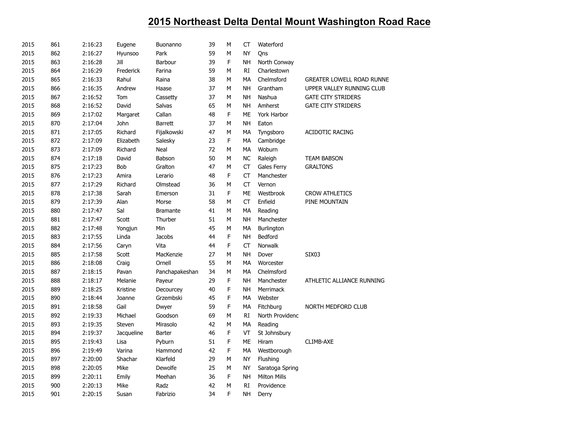| 2015 | 861 | 2:16:23 | Eugene     | <b>Buonanno</b> | 39 | M           | CT        | Waterford           |                           |
|------|-----|---------|------------|-----------------|----|-------------|-----------|---------------------|---------------------------|
| 2015 | 862 | 2:16:27 | Hyunsoo    | Park            | 59 | M           | <b>NY</b> | Qns                 |                           |
| 2015 | 863 | 2:16:28 | Jill       | Barbour         | 39 | F           | <b>NH</b> | North Conway        |                           |
| 2015 | 864 | 2:16:29 | Frederick  | Farina          | 59 | М           | RI        | Charlestown         |                           |
| 2015 | 865 | 2:16:33 | Rahul      | Raina           | 38 | M           | MA        | Chelmsford          | GREATER LOWELL ROAD RUNNE |
| 2015 | 866 | 2:16:35 | Andrew     | Haase           | 37 | М           | NΗ        | Grantham            | UPPER VALLEY RUNNING CLUB |
| 2015 | 867 | 2:16:52 | Tom        | Cassetty        | 37 | M           | <b>NH</b> | Nashua              | <b>GATE CITY STRIDERS</b> |
| 2015 | 868 | 2:16:52 | David      | Salvas          | 65 | M           | NH        | Amherst             | <b>GATE CITY STRIDERS</b> |
| 2015 | 869 | 2:17:02 | Margaret   | Callan          | 48 | F           | ME        | York Harbor         |                           |
| 2015 | 870 | 2:17:04 | John       | <b>Barrett</b>  | 37 | М           | <b>NH</b> | Eaton               |                           |
| 2015 | 871 | 2:17:05 | Richard    | Fijalkowski     | 47 | M           | MA        | Tyngsboro           | <b>ACIDOTIC RACING</b>    |
| 2015 | 872 | 2:17:09 | Elizabeth  | Salesky         | 23 | F           | MA        | Cambridge           |                           |
| 2015 | 873 | 2:17:09 | Richard    | Neal            | 72 | M           | MA        | Woburn              |                           |
| 2015 | 874 | 2:17:18 | David      | Babson          | 50 | М           | <b>NC</b> | Raleigh             | <b>TEAM BABSON</b>        |
| 2015 | 875 | 2:17:23 | Bob        | Gralton         | 47 | M           | CT        | Gales Ferry         | <b>GRALTONS</b>           |
| 2015 | 876 | 2:17:23 | Amira      | Lerario         | 48 | F           | <b>CT</b> | Manchester          |                           |
| 2015 | 877 | 2:17:29 | Richard    | Olmstead        | 36 | М           | <b>CT</b> | Vernon              |                           |
| 2015 | 878 | 2:17:38 | Sarah      | Emerson         | 31 | F           | <b>ME</b> | Westbrook           | <b>CROW ATHLETICS</b>     |
| 2015 | 879 | 2:17:39 | Alan       | Morse           | 58 | M           | <b>CT</b> | Enfield             | PINE MOUNTAIN             |
| 2015 | 880 | 2:17:47 | Sal        | <b>Bramante</b> | 41 | М           | MA        | Reading             |                           |
| 2015 | 881 | 2:17:47 | Scott      | Thurber         | 51 | M           | <b>NH</b> | Manchester          |                           |
| 2015 | 882 | 2:17:48 | Yongjun    | Min             | 45 | M           | MA        | Burlington          |                           |
| 2015 | 883 | 2:17:55 | Linda      | <b>Jacobs</b>   | 44 | F           | NΗ        | Bedford             |                           |
| 2015 | 884 | 2:17:56 | Caryn      | Vita            | 44 | $\mathsf F$ | <b>CT</b> | Norwalk             |                           |
| 2015 | 885 | 2:17:58 | Scott      | MacKenzie       | 27 | M           | <b>NH</b> | Dover               | SIX03                     |
| 2015 | 886 | 2:18:08 | Craig      | Ornell          | 55 | М           | MA        | Worcester           |                           |
| 2015 | 887 | 2:18:15 | Pavan      | Panchapakeshan  | 34 | M           | MA        | Chelmsford          |                           |
| 2015 | 888 | 2:18:17 | Melanie    | Payeur          | 29 | F           | NΗ        | Manchester          | ATHLETIC ALLIANCE RUNNING |
| 2015 | 889 | 2:18:25 | Kristine   | Decourcey       | 40 | F           | <b>NH</b> | Merrimack           |                           |
| 2015 | 890 | 2:18:44 | Joanne     | Grzembski       | 45 | F           | MA        | Webster             |                           |
| 2015 | 891 | 2:18:58 | Gail       | Dwyer           | 59 | F           | МA        | Fitchburg           | NORTH MEDFORD CLUB        |
| 2015 | 892 | 2:19:33 | Michael    | Goodson         | 69 | M           | <b>RI</b> | North Providenc     |                           |
| 2015 | 893 | 2:19:35 | Steven     | Mirasolo        | 42 | M           | МA        | Reading             |                           |
| 2015 | 894 | 2:19:37 | Jacqueline | Barter          | 46 | F           | VT        | St Johnsbury        |                           |
| 2015 | 895 | 2:19:43 | Lisa       | Pyburn          | 51 | $\mathsf F$ | <b>ME</b> | Hiram               | CLIMB-AXE                 |
| 2015 | 896 | 2:19:49 | Varina     | Hammond         | 42 | $\mathsf F$ | MA        | Westborough         |                           |
| 2015 | 897 | 2:20:00 | Shachar    | Klarfeld        | 29 | М           | NY        | Flushing            |                           |
| 2015 | 898 | 2:20:05 | Mike       | Dewolfe         | 25 | М           | NY        | Saratoga Spring     |                           |
| 2015 | 899 | 2:20:11 | Emily      | Meehan          | 36 | F           | NΗ        | <b>Milton Mills</b> |                           |
| 2015 | 900 | 2:20:13 | Mike       | Radz            | 42 | M           | RI        | Providence          |                           |
| 2015 | 901 | 2:20:15 | Susan      | Fabrizio        | 34 | F           | <b>NH</b> | Derry               |                           |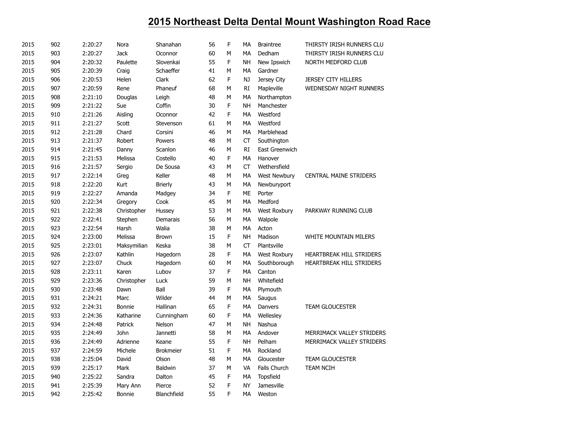| 2015 | 902 | 2:20:27 | Nora        | Shanahan         | 56 | F | MA        | <b>Braintree</b>    | THIRSTY IRISH RUNNERS CLU      |
|------|-----|---------|-------------|------------------|----|---|-----------|---------------------|--------------------------------|
| 2015 | 903 | 2:20:27 | <b>Jack</b> | Oconnor          | 60 | M | MA        | Dedham              | THIRSTY IRISH RUNNERS CLU      |
| 2015 | 904 | 2:20:32 | Paulette    | Slovenkai        | 55 | F | NΗ        | New Ipswich         | NORTH MEDFORD CLUB             |
| 2015 | 905 | 2:20:39 | Craig       | Schaeffer        | 41 | М | МA        | Gardner             |                                |
| 2015 | 906 | 2:20:53 | Helen       | Clark            | 62 | F | NJ        | Jersey City         | <b>JERSEY CITY HILLERS</b>     |
| 2015 | 907 | 2:20:59 | Rene        | Phaneuf          | 68 | M | RI        | Mapleville          | <b>WEDNESDAY NIGHT RUNNERS</b> |
| 2015 | 908 | 2:21:10 | Douglas     | Leigh            | 48 | М | МA        | Northampton         |                                |
| 2015 | 909 | 2:21:22 | Sue         | Coffin           | 30 | F | NΗ        | Manchester          |                                |
| 2015 | 910 | 2:21:26 | Aisling     | Oconnor          | 42 | F | MA        | Westford            |                                |
| 2015 | 911 | 2:21:27 | Scott       | Stevenson        | 61 | M | MA        | Westford            |                                |
| 2015 | 912 | 2:21:28 | Chard       | Corsini          | 46 | M | МA        | Marblehead          |                                |
| 2015 | 913 | 2:21:37 | Robert      | Powers           | 48 | M | CT        | Southington         |                                |
| 2015 | 914 | 2:21:45 | Danny       | Scanlon          | 46 | M | RI        | East Greenwich      |                                |
| 2015 | 915 | 2:21:53 | Melissa     | Costello         | 40 | F | MA        | Hanover             |                                |
| 2015 | 916 | 2:21:57 | Sergio      | De Sousa         | 43 | M | CT        | Wethersfield        |                                |
| 2015 | 917 | 2:22:14 | Greg        | Keller           | 48 | М | МA        | <b>West Newbury</b> | <b>CENTRAL MAINE STRIDERS</b>  |
| 2015 | 918 | 2:22:20 | Kurt        | <b>Brierly</b>   | 43 | М | MA        | Newburyport         |                                |
| 2015 | 919 | 2:22:27 | Amanda      | Madgey           | 34 | F | ME        | Porter              |                                |
| 2015 | 920 | 2:22:34 | Gregory     | Cook             | 45 | М | МA        | Medford             |                                |
| 2015 | 921 | 2:22:38 | Christopher | Hussey           | 53 | М | MA        | West Roxbury        | PARKWAY RUNNING CLUB           |
| 2015 | 922 | 2:22:41 | Stephen     | Demarais         | 56 | М | MA        | Walpole             |                                |
| 2015 | 923 | 2:22:54 | Harsh       | Walia            | 38 | M | МA        | Acton               |                                |
| 2015 | 924 | 2:23:00 | Melissa     | Brown            | 15 | F | NΗ        | Madison             | <b>WHITE MOUNTAIN MILERS</b>   |
| 2015 | 925 | 2:23:01 | Maksymilian | Keska            | 38 | M | CT        | Plantsville         |                                |
| 2015 | 926 | 2:23:07 | Kathlin     | Hagedorn         | 28 | F | МA        | West Roxbury        | HEARTBREAK HILL STRIDERS       |
| 2015 | 927 | 2:23:07 | Chuck       | Hagedorn         | 60 | М | МA        | Southborough        | HEARTBREAK HILL STRIDERS       |
| 2015 | 928 | 2:23:11 | Karen       | Lubov            | 37 | F | MA        | Canton              |                                |
| 2015 | 929 | 2:23:36 | Christopher | Luck             | 59 | М | NΗ        | Whitefield          |                                |
| 2015 | 930 | 2:23:48 | Dawn        | Ball             | 39 | F | МA        | Plymouth            |                                |
| 2015 | 931 | 2:24:21 | Marc        | Wilder           | 44 | M | MA        | Saugus              |                                |
| 2015 | 932 | 2:24:31 | Bonnie      | Hallinan         | 65 | F | MA        | Danvers             | <b>TEAM GLOUCESTER</b>         |
| 2015 | 933 | 2:24:36 | Katharine   | Cunningham       | 60 | F | MA        | Wellesley           |                                |
| 2015 | 934 | 2:24:48 | Patrick     | Nelson           | 47 | M | <b>NH</b> | Nashua              |                                |
| 2015 | 935 | 2:24:49 | John        | Jannetti         | 58 | М | МA        | Andover             | MERRIMACK VALLEY STRIDERS      |
| 2015 | 936 | 2:24:49 | Adrienne    | Keane            | 55 | F | <b>NH</b> | Pelham              | MERRIMACK VALLEY STRIDERS      |
| 2015 | 937 | 2:24:59 | Michele     | <b>Brokmeier</b> | 51 | F | MA        | Rockland            |                                |
| 2015 | 938 | 2:25:04 | David       | Olson            | 48 | М | MA        | Gloucester          | <b>TEAM GLOUCESTER</b>         |
| 2015 | 939 | 2:25:17 | Mark        | Baldwin          | 37 | M | VA        | <b>Falls Church</b> | <b>TEAM NCIH</b>               |
| 2015 | 940 | 2:25:22 | Sandra      | Dalton           | 45 | F | MA        | <b>Topsfield</b>    |                                |
| 2015 | 941 | 2:25:39 | Mary Ann    | Pierce           | 52 | F | NY        | <b>Jamesville</b>   |                                |
| 2015 | 942 | 2:25:42 | Bonnie      | Blanchfield      | 55 | F | MA        | Weston              |                                |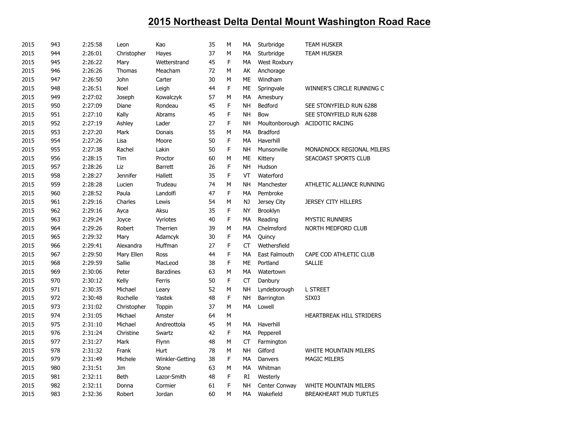| 2015 | 943 | 2:25:58 | Leon            | Kao              | 35 | М | MA        | Sturbridge      | <b>TEAM HUSKER</b>              |
|------|-----|---------|-----------------|------------------|----|---|-----------|-----------------|---------------------------------|
| 2015 | 944 | 2:26:01 | Christopher     | Hayes            | 37 | M | MA        | Sturbridge      | <b>TEAM HUSKER</b>              |
| 2015 | 945 | 2:26:22 | Mary            | Wetterstrand     | 45 | F | МA        | West Roxbury    |                                 |
| 2015 | 946 | 2:26:26 | Thomas          | Meacham          | 72 | M | AK        | Anchorage       |                                 |
| 2015 | 947 | 2:26:50 | John            | Carter           | 30 | М | ME        | Windham         |                                 |
| 2015 | 948 | 2:26:51 | Noel            | Leigh            | 44 | F | ME        | Springvale      | WINNER'S CIRCLE RUNNING C       |
| 2015 | 949 | 2:27:02 | Joseph          | Kowalczyk        | 57 | M | MA        | Amesbury        |                                 |
| 2015 | 950 | 2:27:09 | Diane           | Rondeau          | 45 | F | <b>NH</b> | <b>Bedford</b>  | SEE STONYFIELD RUN 6288         |
| 2015 | 951 | 2:27:10 | Kally           | Abrams           | 45 | F | <b>NH</b> | Bow             | SEE STONYFIELD RUN 6288         |
| 2015 | 952 | 2:27:19 | Ashley          | Lader            | 27 | F | NH        | Moultonborough  | <b>ACIDOTIC RACING</b>          |
| 2015 | 953 | 2:27:20 | Mark            | Donais           | 55 | M | MA        | <b>Bradford</b> |                                 |
| 2015 | 954 | 2:27:26 | Lisa            | Moore            | 50 | F | MA        | Haverhill       |                                 |
| 2015 | 955 | 2:27:38 | Rachel          | Lakin            | 50 | F | <b>NH</b> | Munsonville     | MONADNOCK REGIONAL MILERS       |
| 2015 | 956 | 2:28:15 | <b>Tim</b>      | Proctor          | 60 | М | <b>ME</b> | Kittery         | SEACOAST SPORTS CLUB            |
| 2015 | 957 | 2:28:26 | Liz             | <b>Barrett</b>   | 26 | F | <b>NH</b> | Hudson          |                                 |
| 2015 | 958 | 2:28:27 | <b>Jennifer</b> | Hallett          | 35 | F | VT        | Waterford       |                                 |
| 2015 | 959 | 2:28:28 | Lucien          | Trudeau          | 74 | M | <b>NH</b> | Manchester      | ATHLETIC ALLIANCE RUNNING       |
| 2015 | 960 | 2:28:52 | Paula           | Landolfi         | 47 | F | MA        | Pembroke        |                                 |
| 2015 | 961 | 2:29:16 | Charles         | Lewis            | 54 | М | NJ        | Jersey City     | <b>JERSEY CITY HILLERS</b>      |
| 2015 | 962 | 2:29:16 | Ayca            | Aksu             | 35 | F | <b>NY</b> | Brooklyn        |                                 |
| 2015 | 963 | 2:29:24 | Joyce           | Vyriotes         | 40 | F | <b>MA</b> | Reading         | <b>MYSTIC RUNNERS</b>           |
| 2015 | 964 | 2:29:26 | Robert          | Therrien         | 39 | M | MA        | Chelmsford      | NORTH MEDFORD CLUB              |
| 2015 | 965 | 2:29:32 | Mary            | Adamcyk          | 30 | F | MA        | Quincy          |                                 |
| 2015 | 966 | 2:29:41 | Alexandra       | Huffman          | 27 | F | CT        | Wethersfield    |                                 |
| 2015 | 967 | 2:29:50 | Mary Ellen      | Ross             | 44 | F | MA        | East Falmouth   | CAPE COD ATHLETIC CLUB          |
| 2015 | 968 | 2:29:59 | Sallie          | MacLeod          | 38 | F | <b>ME</b> | Portland        | <b>SALLIE</b>                   |
| 2015 | 969 | 2:30:06 | Peter           | <b>Barzdines</b> | 63 | М | <b>MA</b> | Watertown       |                                 |
| 2015 | 970 | 2:30:12 | Kelly           | Ferris           | 50 | F | <b>CT</b> | Danbury         |                                 |
| 2015 | 971 | 2:30:35 | Michael         | Leary            | 52 | M | <b>NH</b> | Lyndeborough    | <b>L STREET</b>                 |
| 2015 | 972 | 2:30:48 | Rochelle        | Yastek           | 48 | F | <b>NH</b> | Barrington      | SIX <sub>03</sub>               |
| 2015 | 973 | 2:31:02 | Christopher     | <b>Toppin</b>    | 37 | M | MA        | Lowell          |                                 |
| 2015 | 974 | 2:31:05 | Michael         | Amster           | 64 | М |           |                 | <b>HEARTBREAK HILL STRIDERS</b> |
| 2015 | 975 | 2:31:10 | Michael         | Andreottola      | 45 | М | MA        | Haverhill       |                                 |
| 2015 | 976 | 2:31:24 | Christine       | Swartz           | 42 | F | MA        | Pepperell       |                                 |
| 2015 | 977 | 2:31:27 | Mark            | Flynn            | 48 | M | <b>CT</b> | Farmington      |                                 |
| 2015 | 978 | 2:31:32 | Frank           | Hurt             | 78 | M | <b>NH</b> | Gilford         | WHITE MOUNTAIN MILERS           |
| 2015 | 979 | 2:31:49 | Michele         | Winkler-Getting  | 38 | F | MA        | Danvers         | <b>MAGIC MILERS</b>             |
| 2015 | 980 | 2:31:51 | Jim             | Stone            | 63 | М | MA        | Whitman         |                                 |
| 2015 | 981 | 2:32:11 | <b>Beth</b>     | Lazor-Smith      | 48 | F | RI        | Westerly        |                                 |
| 2015 | 982 | 2:32:11 | Donna           | Cormier          | 61 | F | <b>NH</b> | Center Conway   | WHITE MOUNTAIN MILERS           |
| 2015 | 983 | 2:32:36 | Robert          | Jordan           | 60 | M | <b>MA</b> | Wakefield       | BREAKHEART MUD TURTLES          |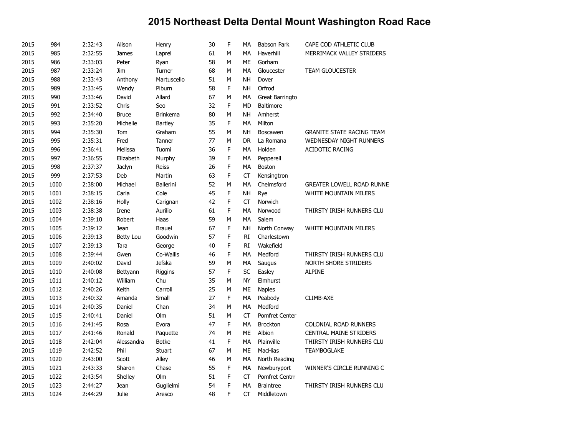| 2015 | 984  | 2:32:43 | Alison       | Henry            | 30 | F            | MA        | <b>Babson Park</b>    | CAPE COD ATHLETIC CLUB           |
|------|------|---------|--------------|------------------|----|--------------|-----------|-----------------------|----------------------------------|
| 2015 | 985  | 2:32:55 | James        | Laprel           | 61 | M            | MA        | Haverhill             | MERRIMACK VALLEY STRIDERS        |
| 2015 | 986  | 2:33:03 | Peter        | Ryan             | 58 | $\mathsf{M}$ | <b>ME</b> | Gorham                |                                  |
| 2015 | 987  | 2:33:24 | Jim          | Turner           | 68 | M            | <b>MA</b> | Gloucester            | <b>TEAM GLOUCESTER</b>           |
| 2015 | 988  | 2:33:43 | Anthony      | Martuscello      | 51 | M            | <b>NH</b> | Dover                 |                                  |
| 2015 | 989  | 2:33:45 | Wendy        | Piburn           | 58 | F            | <b>NH</b> | Orfrod                |                                  |
| 2015 | 990  | 2:33:46 | David        | Allard           | 67 | M            | MA        | Great Barringto       |                                  |
| 2015 | 991  | 2:33:52 | Chris        | Seo              | 32 | F            | MD        | <b>Baltimore</b>      |                                  |
| 2015 | 992  | 2:34:40 | <b>Bruce</b> | <b>Brinkema</b>  | 80 | M            | <b>NH</b> | Amherst               |                                  |
| 2015 | 993  | 2:35:20 | Michelle     | <b>Bartley</b>   | 35 | F            | MA        | Milton                |                                  |
| 2015 | 994  | 2:35:30 | Tom          | Graham           | 55 | М            | <b>NH</b> | <b>Boscawen</b>       | <b>GRANITE STATE RACING TEAM</b> |
| 2015 | 995  | 2:35:31 | Fred         | Tanner           | 77 | M            | <b>DR</b> | La Romana             | WEDNESDAY NIGHT RUNNERS          |
| 2015 | 996  | 2:36:41 | Melissa      | Tuomi            | 36 | F            | MA        | Holden                | ACIDOTIC RACING                  |
| 2015 | 997  | 2:36:55 | Elizabeth    | Murphy           | 39 | F            | МA        | Pepperell             |                                  |
| 2015 | 998  | 2:37:37 | Jaclyn       | Reiss            | 26 | F            | MA        | Boston                |                                  |
| 2015 | 999  | 2:37:53 | Deb          | Martin           | 63 | F            | СT        | Kensingtron           |                                  |
| 2015 | 1000 | 2:38:00 | Michael      | <b>Ballerini</b> | 52 | М            | MA        | Chelmsford            | <b>GREATER LOWELL ROAD RUNNE</b> |
| 2015 | 1001 | 2:38:15 | Carla        | Cole             | 45 | F            | <b>NH</b> | Rye                   | WHITE MOUNTAIN MILERS            |
| 2015 | 1002 | 2:38:16 | Holly        | Carignan         | 42 | F            | <b>CT</b> | Norwich               |                                  |
| 2015 | 1003 | 2:38:38 | Irene        | Aurilio          | 61 | F            | MA        | Norwood               | THIRSTY IRISH RUNNERS CLU        |
| 2015 | 1004 | 2:39:10 | Robert       | Haas             | 59 | М            | MA        | Salem                 |                                  |
| 2015 | 1005 | 2:39:12 | Jean         | <b>Brauel</b>    | 67 | F            | <b>NH</b> | North Conway          | <b>WHITE MOUNTAIN MILERS</b>     |
| 2015 | 1006 | 2:39:13 | Betty Lou    | Goodwin          | 57 | F            | RI        | Charlestown           |                                  |
| 2015 | 1007 | 2:39:13 | Tara         | George           | 40 | F            | RI        | Wakefield             |                                  |
| 2015 | 1008 | 2:39:44 | Gwen         | Co-Wallis        | 46 | F            | <b>MA</b> | Medford               | THIRSTY IRISH RUNNERS CLU        |
| 2015 | 1009 | 2:40:02 | David        | <b>Jefska</b>    | 59 | М            | МA        | Saugus                | <b>NORTH SHORE STRIDERS</b>      |
| 2015 | 1010 | 2:40:08 | Bettyann     | Riggins          | 57 | F            | <b>SC</b> | Easley                | <b>ALPINE</b>                    |
| 2015 | 1011 | 2:40:12 | William      | Chu              | 35 | M            | <b>NY</b> | Elmhurst              |                                  |
| 2015 | 1012 | 2:40:26 | Keith        | Carroll          | 25 | M            | ME        | <b>Naples</b>         |                                  |
| 2015 | 1013 | 2:40:32 | Amanda       | Small            | 27 | F            | MA        | Peabody               | CLIMB-AXE                        |
| 2015 | 1014 | 2:40:35 | Daniel       | Chan             | 34 | M            | <b>MA</b> | Medford               |                                  |
| 2015 | 1015 | 2:40:41 | Daniel       | Olm              | 51 | М            | СT        | <b>Pomfret Center</b> |                                  |
| 2015 | 1016 | 2:41:45 | Rosa         | Evora            | 47 | F            | MA        | <b>Brockton</b>       | COLONIAL ROAD RUNNERS            |
| 2015 | 1017 | 2:41:46 | Ronald       | Paquette         | 74 | M            | <b>ME</b> | Albion                | <b>CENTRAL MAINE STRIDERS</b>    |
| 2015 | 1018 | 2:42:04 | Alessandra   | <b>Botke</b>     | 41 | F            | MA        | Plainville            | THIRSTY IRISH RUNNERS CLU        |
| 2015 | 1019 | 2:42:52 | Phil         | Stuart           | 67 | M            | <b>ME</b> | MacHias               | <b>TEAMBOGLAKE</b>               |
| 2015 | 1020 | 2:43:00 | Scott        | Alley            | 46 | M            | MA        | North Reading         |                                  |
| 2015 | 1021 | 2:43:33 | Sharon       | Chase            | 55 | F            | МA        | Newburyport           | WINNER'S CIRCLE RUNNING C        |
| 2015 | 1022 | 2:43:54 | Shelley      | Olm              | 51 | F            | CT        | Pomfret Centrr        |                                  |
| 2015 | 1023 | 2:44:27 | Jean         | Guglielmi        | 54 | F            | MA        | <b>Braintree</b>      | THIRSTY IRISH RUNNERS CLU        |
| 2015 | 1024 | 2:44:29 | Julie        | Aresco           | 48 | F            | <b>CT</b> | Middletown            |                                  |